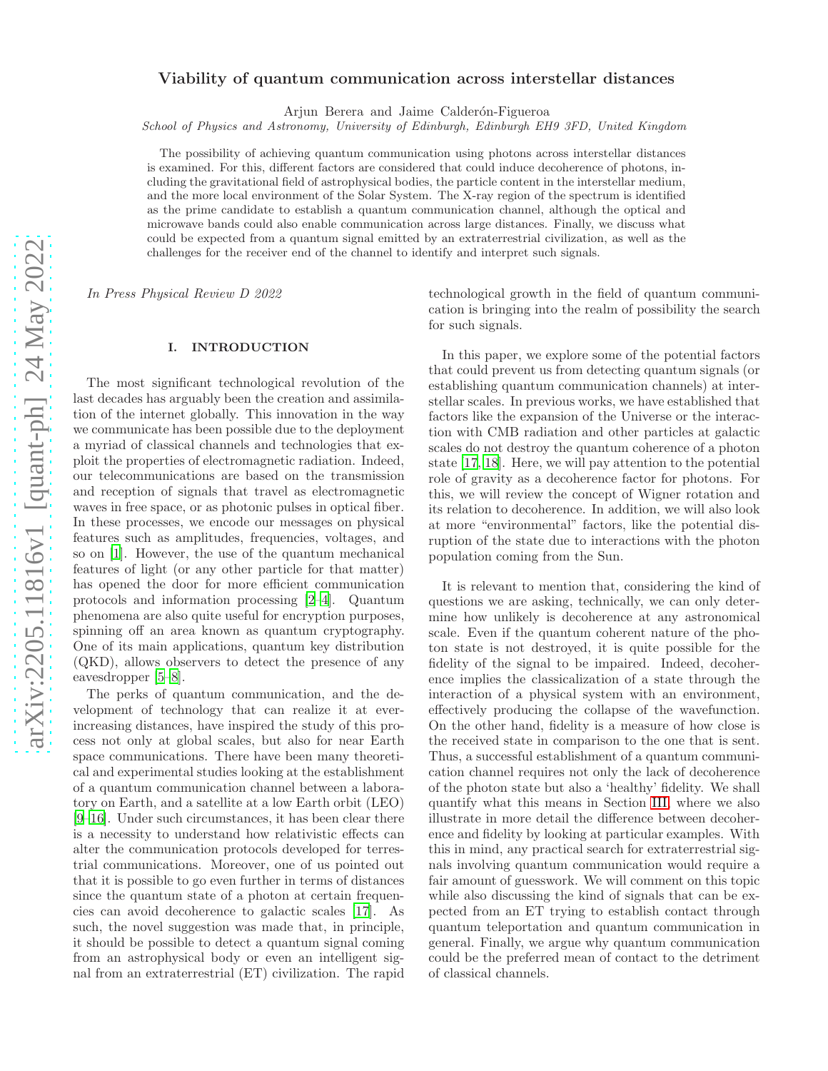# Viability of quantum communication across interstellar distances

Arjun Berera and Jaime Calderón-Figueroa

*School of Physics and Astronomy, University of Edinburgh, Edinburgh EH9 3FD, United Kingdom*

The possibility of achieving quantum communication using photons across interstellar distances is examined. For this, different factors are considered that could induce decoherence of photons, including the gravitational field of astrophysical bodies, the particle content in the interstellar medium, and the more local environment of the Solar System. The X-ray region of the spectrum is identified as the prime candidate to establish a quantum communication channel, although the optical and microwave bands could also enable communication across large distances. Finally, we discuss what could be expected from a quantum signal emitted by an extraterrestrial civilization, as well as the challenges for the receiver end of the channel to identify and interpret such signals.

In Press Physical Review D 2022

## I. INTRODUCTION

The most significant technological revolution of the last decades has arguably been the creation and assimilation of the internet globally. This innovation in the way we communicate has been possible due to the deployment a myriad of classical channels and technologies that exploit the properties of electromagnetic radiation. Indeed, our telecommunications are based on the transmission and reception of signals that travel as electromagnetic waves in free space, or as photonic pulses in optical fiber. In these processes, we encode our messages on physical features such as amplitudes, frequencies, voltages, and so on [\[1\]](#page-14-0). However, the use of the quantum mechanical features of light (or any other particle for that matter) has opened the door for more efficient communication protocols and information processing [\[2](#page-14-1)[–4\]](#page-14-2). Quantum phenomena are also quite useful for encryption purposes, spinning off an area known as quantum cryptography. One of its main applications, quantum key distribution (QKD), allows observers to detect the presence of any eavesdropper [\[5](#page-14-3)[–8\]](#page-14-4).

The perks of quantum communication, and the development of technology that can realize it at everincreasing distances, have inspired the study of this process not only at global scales, but also for near Earth space communications. There have been many theoretical and experimental studies looking at the establishment of a quantum communication channel between a laboratory on Earth, and a satellite at a low Earth orbit (LEO) [\[9](#page-14-5)[–16\]](#page-15-0). Under such circumstances, it has been clear there is a necessity to understand how relativistic effects can alter the communication protocols developed for terrestrial communications. Moreover, one of us pointed out that it is possible to go even further in terms of distances since the quantum state of a photon at certain frequencies can avoid decoherence to galactic scales [\[17\]](#page-15-1). As such, the novel suggestion was made that, in principle, it should be possible to detect a quantum signal coming from an astrophysical body or even an intelligent signal from an extraterrestrial (ET) civilization. The rapid technological growth in the field of quantum communication is bringing into the realm of possibility the search for such signals.

In this paper, we explore some of the potential factors that could prevent us from detecting quantum signals (or establishing quantum communication channels) at interstellar scales. In previous works, we have established that factors like the expansion of the Universe or the interaction with CMB radiation and other particles at galactic scales do not destroy the quantum coherence of a photon state [\[17](#page-15-1), [18\]](#page-15-2). Here, we will pay attention to the potential role of gravity as a decoherence factor for photons. For this, we will review the concept of Wigner rotation and its relation to decoherence. In addition, we will also look at more "environmental" factors, like the potential disruption of the state due to interactions with the photon population coming from the Sun.

It is relevant to mention that, considering the kind of questions we are asking, technically, we can only determine how unlikely is decoherence at any astronomical scale. Even if the quantum coherent nature of the photon state is not destroyed, it is quite possible for the fidelity of the signal to be impaired. Indeed, decoherence implies the classicalization of a state through the interaction of a physical system with an environment, effectively producing the collapse of the wavefunction. On the other hand, fidelity is a measure of how close is the received state in comparison to the one that is sent. Thus, a successful establishment of a quantum communication channel requires not only the lack of decoherence of the photon state but also a 'healthy' fidelity. We shall quantify what this means in Section [III,](#page-3-0) where we also illustrate in more detail the difference between decoherence and fidelity by looking at particular examples. With this in mind, any practical search for extraterrestrial signals involving quantum communication would require a fair amount of guesswork. We will comment on this topic while also discussing the kind of signals that can be expected from an ET trying to establish contact through quantum teleportation and quantum communication in general. Finally, we argue why quantum communication could be the preferred mean of contact to the detriment of classical channels.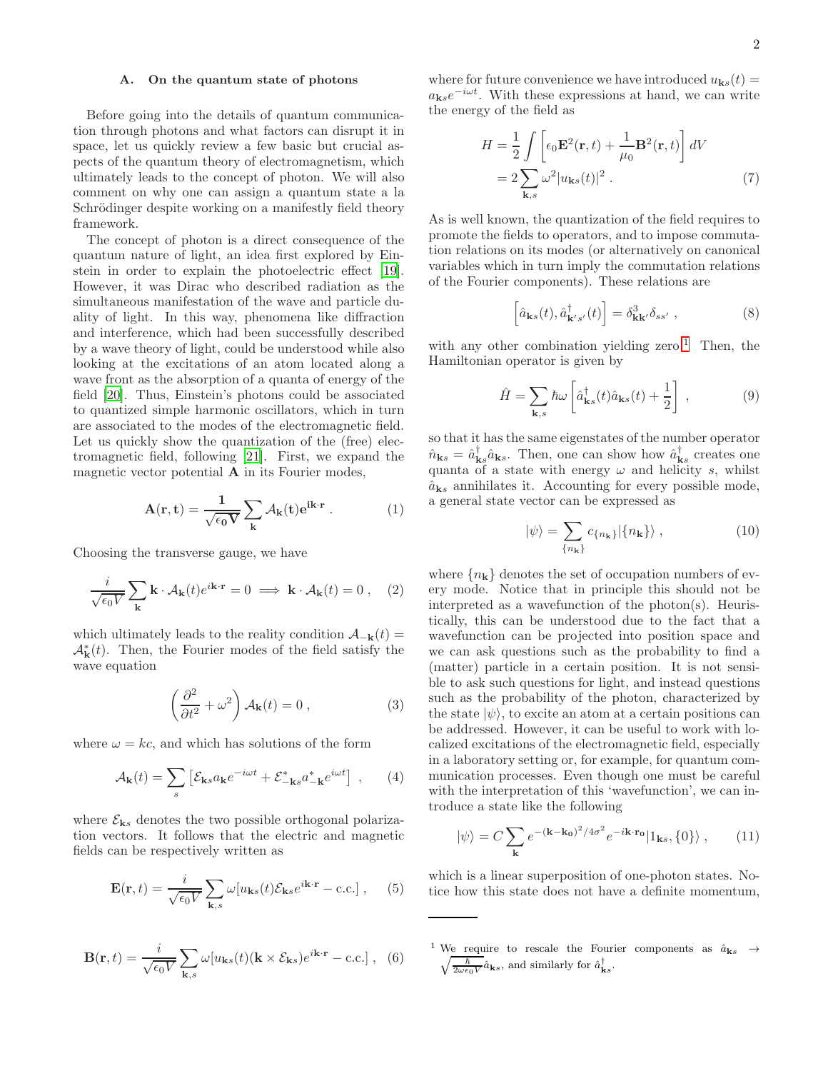### A. On the quantum state of photons

Before going into the details of quantum communication through photons and what factors can disrupt it in space, let us quickly review a few basic but crucial aspects of the quantum theory of electromagnetism, which ultimately leads to the concept of photon. We will also comment on why one can assign a quantum state a la Schrödinger despite working on a manifestly field theory framework.

The concept of photon is a direct consequence of the quantum nature of light, an idea first explored by Einstein in order to explain the photoelectric effect [\[19\]](#page-15-3). However, it was Dirac who described radiation as the simultaneous manifestation of the wave and particle duality of light. In this way, phenomena like diffraction and interference, which had been successfully described by a wave theory of light, could be understood while also looking at the excitations of an atom located along a wave front as the absorption of a quanta of energy of the field [\[20\]](#page-15-4). Thus, Einstein's photons could be associated to quantized simple harmonic oscillators, which in turn are associated to the modes of the electromagnetic field. Let us quickly show the quantization of the (free) electromagnetic field, following [\[21](#page-15-5)]. First, we expand the magnetic vector potential  $A$  in its Fourier modes,

$$
\mathbf{A}(\mathbf{r}, \mathbf{t}) = \frac{1}{\sqrt{\epsilon_0 \mathbf{V}}} \sum_{\mathbf{k}} \mathcal{A}_{\mathbf{k}}(\mathbf{t}) e^{i\mathbf{k} \cdot \mathbf{r}} . \tag{1}
$$

Choosing the transverse gauge, we have

$$
\frac{i}{\sqrt{\epsilon_0 V}} \sum_{\mathbf{k}} \mathbf{k} \cdot \mathcal{A}_{\mathbf{k}}(t) e^{i\mathbf{k} \cdot \mathbf{r}} = 0 \implies \mathbf{k} \cdot \mathcal{A}_{\mathbf{k}}(t) = 0 , \quad (2)
$$

which ultimately leads to the reality condition  $\mathcal{A}_{-{\bf k}}(t) =$  $\mathcal{A}_{\mathbf{k}}^{*}(t)$ . Then, the Fourier modes of the field satisfy the wave equation

$$
\left(\frac{\partial^2}{\partial t^2} + \omega^2\right) A_{\mathbf{k}}(t) = 0 , \qquad (3)
$$

where  $\omega = kc$ , and which has solutions of the form

$$
\mathcal{A}_{\mathbf{k}}(t) = \sum_{s} \left[ \mathcal{E}_{\mathbf{k}s} a_{\mathbf{k}} e^{-i\omega t} + \mathcal{E}_{-\mathbf{k}s}^{*} a_{-\mathbf{k}}^{*} e^{i\omega t} \right] , \qquad (4)
$$

where  $\mathcal{E}_{\mathbf{k}s}$  denotes the two possible orthogonal polarization vectors. It follows that the electric and magnetic fields can be respectively written as

$$
\mathbf{E}(\mathbf{r},t) = \frac{i}{\sqrt{\epsilon_0 V}} \sum_{\mathbf{k},s} \omega[u_{\mathbf{k}s}(t)\mathcal{E}_{\mathbf{k}s}e^{i\mathbf{k}\cdot\mathbf{r}} - \text{c.c.}], \quad (5)
$$

$$
\mathbf{B}(\mathbf{r},t) = \frac{i}{\sqrt{\epsilon_0 V}} \sum_{\mathbf{k},s} \omega[u_{\mathbf{k}s}(t)(\mathbf{k} \times \mathcal{E}_{\mathbf{k}s})e^{i\mathbf{k}\cdot\mathbf{r}} - \text{c.c.}], \quad (6)
$$

where for future convenience we have introduced  $u_{\mathbf{k}s}(t) =$  $a_{\mathbf{k}s}e^{-i\omega t}$ . With these expressions at hand, we can write the energy of the field as

$$
H = \frac{1}{2} \int \left[ \epsilon_0 \mathbf{E}^2(\mathbf{r}, t) + \frac{1}{\mu_0} \mathbf{B}^2(\mathbf{r}, t) \right] dV
$$
  
= 
$$
2 \sum_{\mathbf{k}, s} \omega^2 |u_{\mathbf{k}s}(t)|^2.
$$
 (7)

As is well known, the quantization of the field requires to promote the fields to operators, and to impose commutation relations on its modes (or alternatively on canonical variables which in turn imply the commutation relations of the Fourier components). These relations are

$$
\left[\hat{a}_{\mathbf{k}s}(t),\hat{a}_{\mathbf{k}'s'}^{\dagger}(t)\right]=\delta_{\mathbf{k}\mathbf{k}'}^{3}\delta_{ss'}\,,\tag{8}
$$

with any other combination yielding zero.<sup>[1](#page-1-0)</sup> Then, the Hamiltonian operator is given by

$$
\hat{H} = \sum_{\mathbf{k},s} \hbar \omega \left[ \hat{a}_{\mathbf{k}s}^{\dagger}(t) \hat{a}_{\mathbf{k}s}(t) + \frac{1}{2} \right] , \qquad (9)
$$

so that it has the same eigenstates of the number operator  $\hat{n}_{\mathbf{k}s} = \hat{a}_{\mathbf{k}s}^{\dagger} \hat{a}_{\mathbf{k}s}$ . Then, one can show how  $\hat{a}_{\mathbf{k}s}^{\dagger}$  creates one quanta of a state with energy  $\omega$  and helicity s, whilst  $\hat{a}_{\mathbf{k}s}$  annihilates it. Accounting for every possible mode, a general state vector can be expressed as

$$
|\psi\rangle = \sum_{\{n_{\mathbf{k}}\}} c_{\{n_{\mathbf{k}}\}} |\{n_{\mathbf{k}}\}\rangle , \qquad (10)
$$

where  ${n_k}$  denotes the set of occupation numbers of every mode. Notice that in principle this should not be interpreted as a wavefunction of the photon(s). Heuristically, this can be understood due to the fact that a wavefunction can be projected into position space and we can ask questions such as the probability to find a (matter) particle in a certain position. It is not sensible to ask such questions for light, and instead questions such as the probability of the photon, characterized by the state  $|\psi\rangle$ , to excite an atom at a certain positions can be addressed. However, it can be useful to work with localized excitations of the electromagnetic field, especially in a laboratory setting or, for example, for quantum communication processes. Even though one must be careful with the interpretation of this 'wavefunction', we can introduce a state like the following

$$
|\psi\rangle = C \sum_{\mathbf{k}} e^{-(\mathbf{k} - \mathbf{k_0})^2 / 4\sigma^2} e^{-i\mathbf{k} \cdot \mathbf{r_0}} |1_{\mathbf{k}s}, \{0\}\rangle , \qquad (11)
$$

which is a linear superposition of one-photon states. Notice how this state does not have a definite momentum,

<span id="page-1-0"></span><sup>&</sup>lt;sup>1</sup> We require to rescale the Fourier components as  $\hat{a}_{\mathbf{k}s} \rightarrow \sqrt{\frac{\hbar}{\hat{a}}\hat{a}}$  and similarly for  $\hat{a}^{\dagger}$  $\frac{\hbar}{2\omega\epsilon_0V}\hat{a}_{\mathbf{k}s}$ , and similarly for  $\hat{a}_{\mathbf{k}s}^{\dagger}$ .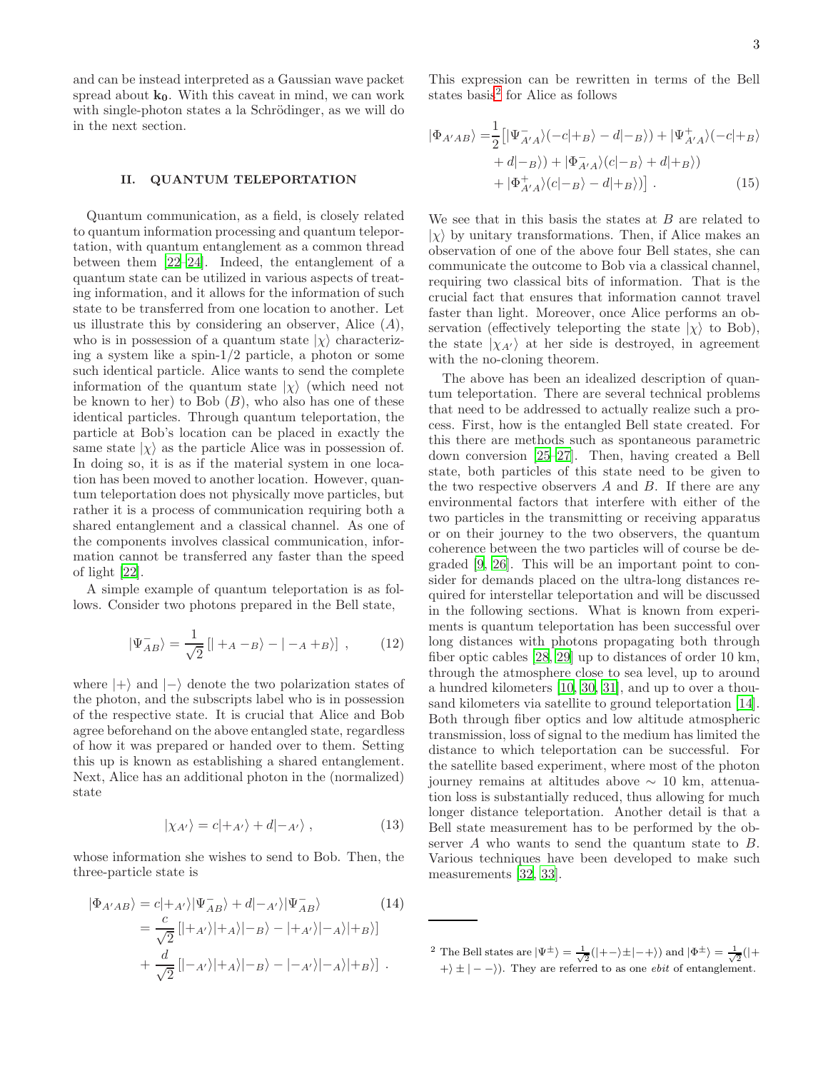and can be instead interpreted as a Gaussian wave packet spread about  $k_0$ . With this caveat in mind, we can work with single-photon states a la Schrödinger, as we will do in the next section.

## <span id="page-2-1"></span>II. QUANTUM TELEPORTATION

Quantum communication, as a field, is closely related to quantum information processing and quantum teleportation, with quantum entanglement as a common thread between them [\[22](#page-15-6)[–24\]](#page-15-7). Indeed, the entanglement of a quantum state can be utilized in various aspects of treating information, and it allows for the information of such state to be transferred from one location to another. Let us illustrate this by considering an observer, Alice  $(A)$ , who is in possession of a quantum state  $|\chi\rangle$  characterizing a system like a spin-1/2 particle, a photon or some such identical particle. Alice wants to send the complete information of the quantum state  $|\chi\rangle$  (which need not be known to her) to Bob  $(B)$ , who also has one of these identical particles. Through quantum teleportation, the particle at Bob's location can be placed in exactly the same state  $|\chi\rangle$  as the particle Alice was in possession of. In doing so, it is as if the material system in one location has been moved to another location. However, quantum teleportation does not physically move particles, but rather it is a process of communication requiring both a shared entanglement and a classical channel. As one of the components involves classical communication, information cannot be transferred any faster than the speed of light [\[22](#page-15-6)].

A simple example of quantum teleportation is as follows. Consider two photons prepared in the Bell state,

$$
|\Psi_{AB}^{-}\rangle = \frac{1}{\sqrt{2}}\left[|+_{A}-_{B}\rangle-|-_{A}+_{B}\rangle\right] ,\qquad(12)
$$

where  $|+\rangle$  and  $|-\rangle$  denote the two polarization states of the photon, and the subscripts label who is in possession of the respective state. It is crucial that Alice and Bob agree beforehand on the above entangled state, regardless of how it was prepared or handed over to them. Setting this up is known as establishing a shared entanglement. Next, Alice has an additional photon in the (normalized) state

$$
|\chi_{A'}\rangle = c|+_{A'}\rangle + d|-_{A'}\rangle , \qquad (13)
$$

whose information she wishes to send to Bob. Then, the three-particle state is

$$
|\Phi_{A'AB}\rangle = c|+_A\rangle |\Psi_{AB}^-\rangle + d|-_A\rangle |\Psi_{AB}^-\rangle
$$
\n
$$
= \frac{c}{\sqrt{2}} [ |+_A\rangle |+_A\rangle |-_B\rangle - |+_A\rangle |+_A\rangle |+_B\rangle ]
$$
\n
$$
+ \frac{d}{\sqrt{2}} [ |-_A\rangle |+_A\rangle |-_B\rangle - |-_A\rangle |-_A\rangle |+_B\rangle ] .
$$
\n(14)

This expression can be rewritten in terms of the Bell states basis<sup>[2](#page-2-0)</sup> for Alice as follows

$$
|\Phi_{A'AB}\rangle = \frac{1}{2} \left[ |\Psi_{A'A}^{-}\rangle(-c|+B\rangle - d|-B\rangle) + |\Psi_{A'A}^{+}\rangle(-c|+B\rangle + d|-B\rangle) + |\Phi_{A'A}^{-}\rangle(c|-B\rangle + d|+B\rangle) + |\Phi_{A'A}^{+}\rangle(c|-B\rangle - d|+B\rangle) \right].
$$
 (15)

We see that in this basis the states at  $B$  are related to  $|\chi\rangle$  by unitary transformations. Then, if Alice makes an observation of one of the above four Bell states, she can communicate the outcome to Bob via a classical channel, requiring two classical bits of information. That is the crucial fact that ensures that information cannot travel faster than light. Moreover, once Alice performs an observation (effectively teleporting the state  $|\chi\rangle$  to Bob), the state  $|\chi_{A'}\rangle$  at her side is destroyed, in agreement with the no-cloning theorem.

The above has been an idealized description of quantum teleportation. There are several technical problems that need to be addressed to actually realize such a process. First, how is the entangled Bell state created. For this there are methods such as spontaneous parametric down conversion [\[25](#page-15-8)[–27](#page-15-9)]. Then, having created a Bell state, both particles of this state need to be given to the two respective observers  $A$  and  $B$ . If there are any environmental factors that interfere with either of the two particles in the transmitting or receiving apparatus or on their journey to the two observers, the quantum coherence between the two particles will of course be degraded [\[9,](#page-14-5) [26\]](#page-15-10). This will be an important point to consider for demands placed on the ultra-long distances required for interstellar teleportation and will be discussed in the following sections. What is known from experiments is quantum teleportation has been successful over long distances with photons propagating both through fiber optic cables [\[28](#page-15-11), [29\]](#page-15-12) up to distances of order 10 km, through the atmosphere close to sea level, up to around a hundred kilometers [\[10](#page-14-6), [30](#page-15-13), [31\]](#page-15-14), and up to over a thousand kilometers via satellite to ground teleportation [\[14\]](#page-14-7). Both through fiber optics and low altitude atmospheric transmission, loss of signal to the medium has limited the distance to which teleportation can be successful. For the satellite based experiment, where most of the photon journey remains at altitudes above  $\sim$  10 km, attenuation loss is substantially reduced, thus allowing for much longer distance teleportation. Another detail is that a Bell state measurement has to be performed by the observer A who wants to send the quantum state to B. Various techniques have been developed to make such measurements [\[32](#page-15-15), [33\]](#page-15-16).

<span id="page-2-0"></span><sup>&</sup>lt;sup>2</sup> The Bell states are  $|\Psi^{\pm}\rangle = \frac{1}{\sqrt{2}}(|+-\rangle \pm |-+\rangle)$  and  $|\Phi^{\pm}\rangle = \frac{1}{\sqrt{2}}(|+$  $\ket{+} \pm \ket{--}$ ). They are referred to as one *ebit* of entanglement.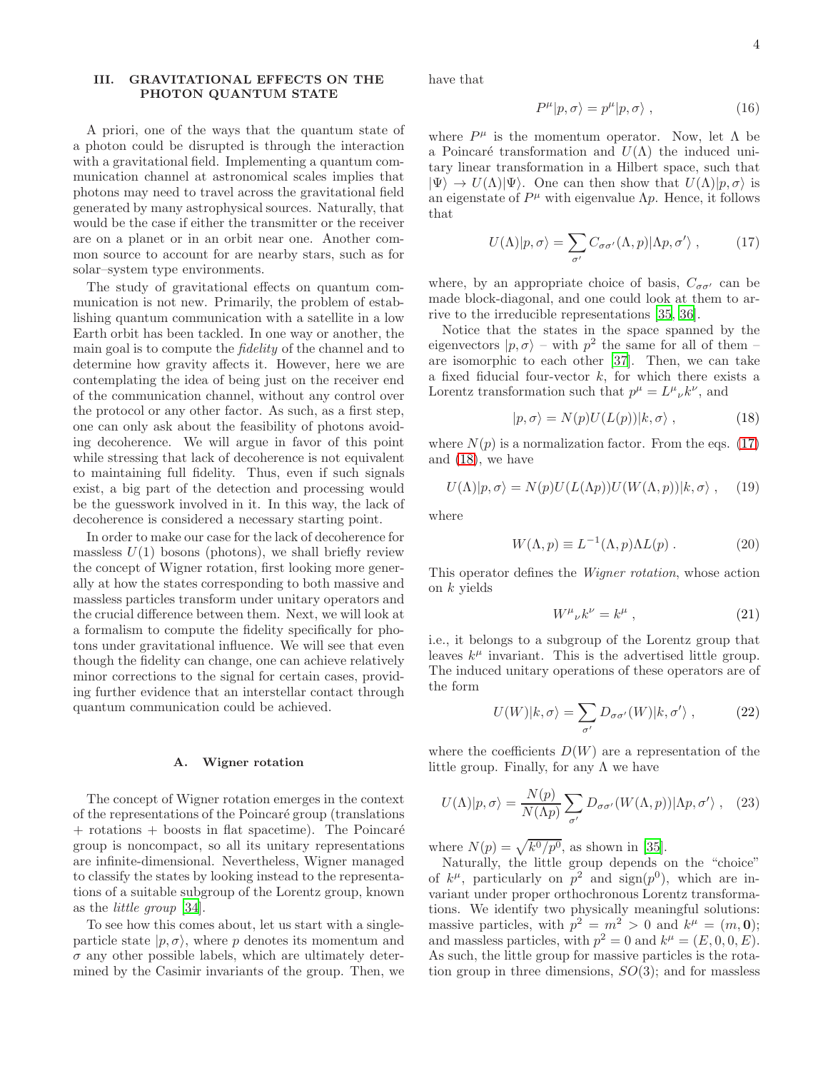# <span id="page-3-0"></span>III. GRAVITATIONAL EFFECTS ON THE PHOTON QUANTUM STATE

A priori, one of the ways that the quantum state of a photon could be disrupted is through the interaction with a gravitational field. Implementing a quantum communication channel at astronomical scales implies that photons may need to travel across the gravitational field generated by many astrophysical sources. Naturally, that would be the case if either the transmitter or the receiver are on a planet or in an orbit near one. Another common source to account for are nearby stars, such as for solar–system type environments.

The study of gravitational effects on quantum communication is not new. Primarily, the problem of establishing quantum communication with a satellite in a low Earth orbit has been tackled. In one way or another, the main goal is to compute the fidelity of the channel and to determine how gravity affects it. However, here we are contemplating the idea of being just on the receiver end of the communication channel, without any control over the protocol or any other factor. As such, as a first step, one can only ask about the feasibility of photons avoiding decoherence. We will argue in favor of this point while stressing that lack of decoherence is not equivalent to maintaining full fidelity. Thus, even if such signals exist, a big part of the detection and processing would be the guesswork involved in it. In this way, the lack of decoherence is considered a necessary starting point.

In order to make our case for the lack of decoherence for massless  $U(1)$  bosons (photons), we shall briefly review the concept of Wigner rotation, first looking more generally at how the states corresponding to both massive and massless particles transform under unitary operators and the crucial difference between them. Next, we will look at a formalism to compute the fidelity specifically for photons under gravitational influence. We will see that even though the fidelity can change, one can achieve relatively minor corrections to the signal for certain cases, providing further evidence that an interstellar contact through quantum communication could be achieved.

#### A. Wigner rotation

The concept of Wigner rotation emerges in the context of the representations of the Poincar´e group (translations  $+$  rotations  $+$  boosts in flat spacetime). The Poincaré group is noncompact, so all its unitary representations are infinite-dimensional. Nevertheless, Wigner managed to classify the states by looking instead to the representations of a suitable subgroup of the Lorentz group, known as the little group [\[34\]](#page-15-17).

To see how this comes about, let us start with a singleparticle state  $|p, \sigma\rangle$ , where p denotes its momentum and  $\sigma$  any other possible labels, which are ultimately determined by the Casimir invariants of the group. Then, we have that

$$
P^{\mu}|p,\sigma\rangle = p^{\mu}|p,\sigma\rangle ,\qquad (16)
$$

where  $P^{\mu}$  is the momentum operator. Now, let  $\Lambda$  be a Poincaré transformation and  $U(\Lambda)$  the induced unitary linear transformation in a Hilbert space, such that  $|\Psi\rangle \to U(\Lambda) |\Psi\rangle$ . One can then show that  $U(\Lambda) |p, \sigma\rangle$  is an eigenstate of  $P^{\mu}$  with eigenvalue  $\Lambda p$ . Hence, it follows that

<span id="page-3-1"></span>
$$
U(\Lambda)|p,\sigma\rangle = \sum_{\sigma'} C_{\sigma\sigma'}(\Lambda,p)|\Lambda p,\sigma'\rangle ,\qquad (17)
$$

where, by an appropriate choice of basis,  $C_{\sigma\sigma'}$  can be made block-diagonal, and one could look at them to arrive to the irreducible representations [\[35,](#page-15-18) [36\]](#page-15-19).

Notice that the states in the space spanned by the eigenvectors  $|p, \sigma\rangle$  – with  $p^2$  the same for all of them – are isomorphic to each other [\[37](#page-15-20)]. Then, we can take a fixed fiducial four-vector  $k$ , for which there exists a Lorentz transformation such that  $p^{\mu} = L^{\mu}{}_{\nu}k^{\nu}$ , and

<span id="page-3-2"></span>
$$
|p,\sigma\rangle = N(p)U(L(p))|k,\sigma\rangle ,\qquad (18)
$$

where  $N(p)$  is a normalization factor. From the eqs. [\(17\)](#page-3-1) and [\(18\)](#page-3-2), we have

$$
U(\Lambda)|p,\sigma\rangle = N(p)U(L(\Lambda p))U(W(\Lambda,p))|k,\sigma\rangle ,\quad (19)
$$

where

$$
W(\Lambda, p) \equiv L^{-1}(\Lambda, p)\Lambda L(p) . \qquad (20)
$$

This operator defines the Wigner rotation, whose action on  $k$  yields

$$
W^{\mu}{}_{\nu}k^{\nu} = k^{\mu} \tag{21}
$$

i.e., it belongs to a subgroup of the Lorentz group that leaves  $k^{\mu}$  invariant. This is the advertised little group. The induced unitary operations of these operators are of the form

$$
U(W)|k,\sigma\rangle = \sum_{\sigma'} D_{\sigma\sigma'}(W)|k,\sigma'\rangle ,\qquad (22)
$$

where the coefficients  $D(W)$  are a representation of the little group. Finally, for any  $\Lambda$  we have

<span id="page-3-3"></span>
$$
U(\Lambda)|p,\sigma\rangle = \frac{N(p)}{N(\Lambda p)} \sum_{\sigma'} D_{\sigma\sigma'}(W(\Lambda,p))|\Lambda p,\sigma'\rangle , \quad (23)
$$

where  $N(p) = \sqrt{k^0/p^0}$ , as shown in [\[35](#page-15-18)].

Naturally, the little group depends on the "choice" of  $k^{\mu}$ , particularly on  $p^2$  and  $sign(p^0)$ , which are invariant under proper orthochronous Lorentz transformations. We identify two physically meaningful solutions: massive particles, with  $p^2 = m^2 > 0$  and  $k^{\mu} = (m, 0);$ and massless particles, with  $p^2 = 0$  and  $k^{\mu} = (E, 0, 0, E)$ . As such, the little group for massive particles is the rotation group in three dimensions,  $SO(3)$ ; and for massless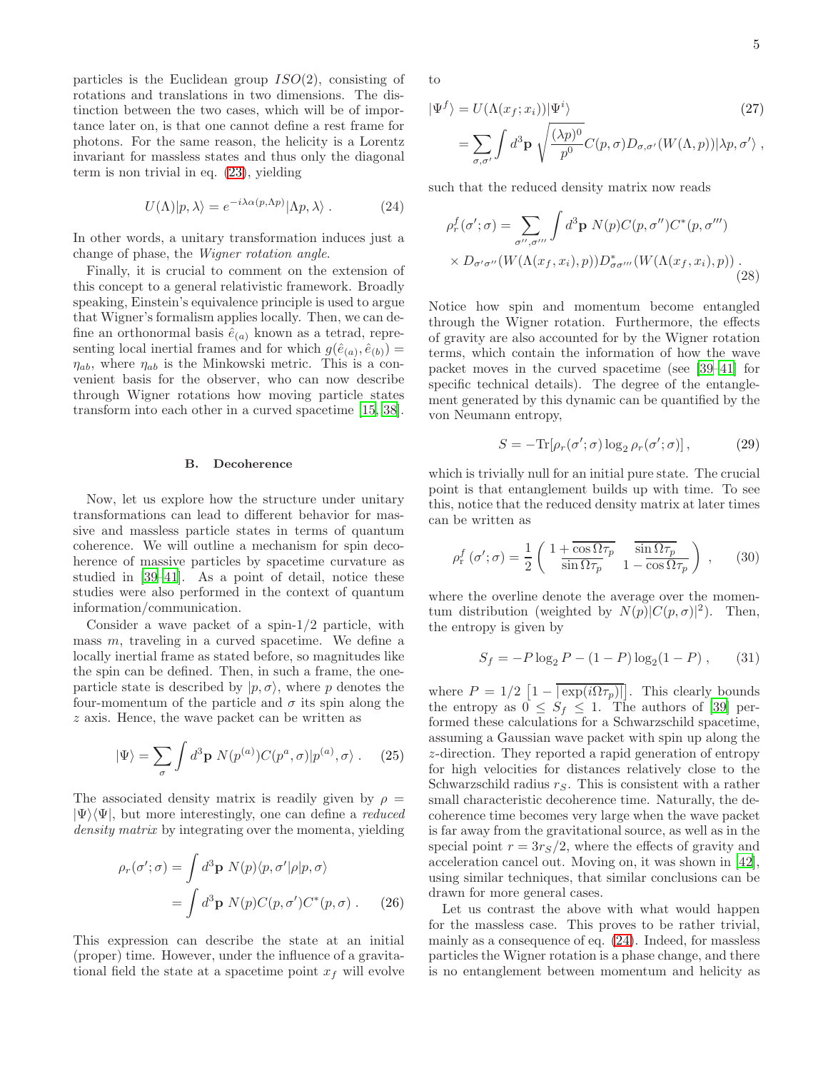particles is the Euclidean group  $ISO(2)$ , consisting of rotations and translations in two dimensions. The distinction between the two cases, which will be of importance later on, is that one cannot define a rest frame for photons. For the same reason, the helicity is a Lorentz invariant for massless states and thus only the diagonal term is non trivial in eq. [\(23\)](#page-3-3), yielding

<span id="page-4-0"></span>
$$
U(\Lambda)|p,\lambda\rangle = e^{-i\lambda\alpha(p,\Lambda p)}|\Lambda p,\lambda\rangle. \tag{24}
$$

In other words, a unitary transformation induces just a change of phase, the Wigner rotation angle.

Finally, it is crucial to comment on the extension of this concept to a general relativistic framework. Broadly speaking, Einstein's equivalence principle is used to argue that Wigner's formalism applies locally. Then, we can define an orthonormal basis  $\hat{e}_{(a)}$  known as a tetrad, representing local inertial frames and for which  $g(\hat{e}_{(a)}, \hat{e}_{(b)}) =$  $\eta_{ab}$ , where  $\eta_{ab}$  is the Minkowski metric. This is a convenient basis for the observer, who can now describe through Wigner rotations how moving particle states transform into each other in a curved spacetime [\[15,](#page-14-8) [38\]](#page-15-21).

#### B. Decoherence

Now, let us explore how the structure under unitary transformations can lead to different behavior for massive and massless particle states in terms of quantum coherence. We will outline a mechanism for spin decoherence of massive particles by spacetime curvature as studied in [\[39](#page-15-22)[–41\]](#page-15-23). As a point of detail, notice these studies were also performed in the context of quantum information/communication.

Consider a wave packet of a spin-1/2 particle, with mass  $m$ , traveling in a curved spacetime. We define a locally inertial frame as stated before, so magnitudes like the spin can be defined. Then, in such a frame, the oneparticle state is described by  $|p, \sigma\rangle$ , where p denotes the four-momentum of the particle and  $\sigma$  its spin along the z axis. Hence, the wave packet can be written as

$$
|\Psi\rangle = \sum_{\sigma} \int d^3 \mathbf{p} \ N(p^{(a)}) C(p^a, \sigma) |p^{(a)}, \sigma\rangle . \tag{25}
$$

The associated density matrix is readily given by  $\rho =$  $|\Psi\rangle\langle\Psi|$ , but more interestingly, one can define a reduced density matrix by integrating over the momenta, yielding

$$
\rho_r(\sigma';\sigma) = \int d^3 \mathbf{p} \ N(p) \langle p, \sigma' | \rho | p, \sigma \rangle
$$

$$
= \int d^3 \mathbf{p} \ N(p) C(p, \sigma') C^*(p, \sigma) . \tag{26}
$$

This expression can describe the state at an initial (proper) time. However, under the influence of a gravitational field the state at a spacetime point  $x<sub>f</sub>$  will evolve to

$$
|\Psi^f\rangle = U(\Lambda(x_f; x_i))|\Psi^i\rangle
$$
\n
$$
= \sum_{\sigma,\sigma'} \int d^3 \mathbf{p} \sqrt{\frac{(\lambda p)^0}{p^0}} C(p,\sigma) D_{\sigma,\sigma'}(W(\Lambda, p))|\lambda p, \sigma'\rangle ,
$$
\n(27)

such that the reduced density matrix now reads

$$
\rho_r^f(\sigma';\sigma) = \sum_{\sigma'',\sigma'''} \int d^3 \mathbf{p} \ N(p) C(p, \sigma'') C^*(p, \sigma''')
$$
  
 
$$
\times D_{\sigma'\sigma''}(W(\Lambda(x_f, x_i), p)) D_{\sigma\sigma'''}^*(W(\Lambda(x_f, x_i), p)).
$$
 (28)

Notice how spin and momentum become entangled through the Wigner rotation. Furthermore, the effects of gravity are also accounted for by the Wigner rotation terms, which contain the information of how the wave packet moves in the curved spacetime (see [\[39](#page-15-22)[–41\]](#page-15-23) for specific technical details). The degree of the entanglement generated by this dynamic can be quantified by the von Neumann entropy,

$$
S = -\text{Tr}[\rho_r(\sigma';\sigma)\log_2\rho_r(\sigma';\sigma)],\tag{29}
$$

which is trivially null for an initial pure state. The crucial point is that entanglement builds up with time. To see this, notice that the reduced density matrix at later times can be written as

$$
\rho_{\rm r}^f\left(\sigma';\sigma\right) = \frac{1}{2} \begin{pmatrix} 1 + \overline{\cos \Omega \tau_p} & \overline{\sin \Omega \tau_p} \\ \overline{\sin \Omega \tau_p} & 1 - \overline{\cos \Omega \tau_p} \end{pmatrix} , \qquad (30)
$$

where the overline denote the average over the momentum distribution (weighted by  $N(p)|C(p,\sigma)|^2$ ). Then, the entropy is given by

$$
S_f = -P \log_2 P - (1 - P) \log_2 (1 - P), \qquad (31)
$$

where  $P = 1/2 \left[ 1 - |\exp(i\Omega \tau_p)| \right]$ . This clearly bounds the entropy as  $0 \leq S_f \leq 1$ . The authors of [\[39](#page-15-22)] performed these calculations for a Schwarzschild spacetime, assuming a Gaussian wave packet with spin up along the z-direction. They reported a rapid generation of entropy for high velocities for distances relatively close to the Schwarzschild radius  $r<sub>S</sub>$ . This is consistent with a rather small characteristic decoherence time. Naturally, the decoherence time becomes very large when the wave packet is far away from the gravitational source, as well as in the special point  $r = 3r_S/2$ , where the effects of gravity and acceleration cancel out. Moving on, it was shown in [\[42\]](#page-15-24), using similar techniques, that similar conclusions can be drawn for more general cases.

Let us contrast the above with what would happen for the massless case. This proves to be rather trivial, mainly as a consequence of eq. [\(24\)](#page-4-0). Indeed, for massless particles the Wigner rotation is a phase change, and there is no entanglement between momentum and helicity as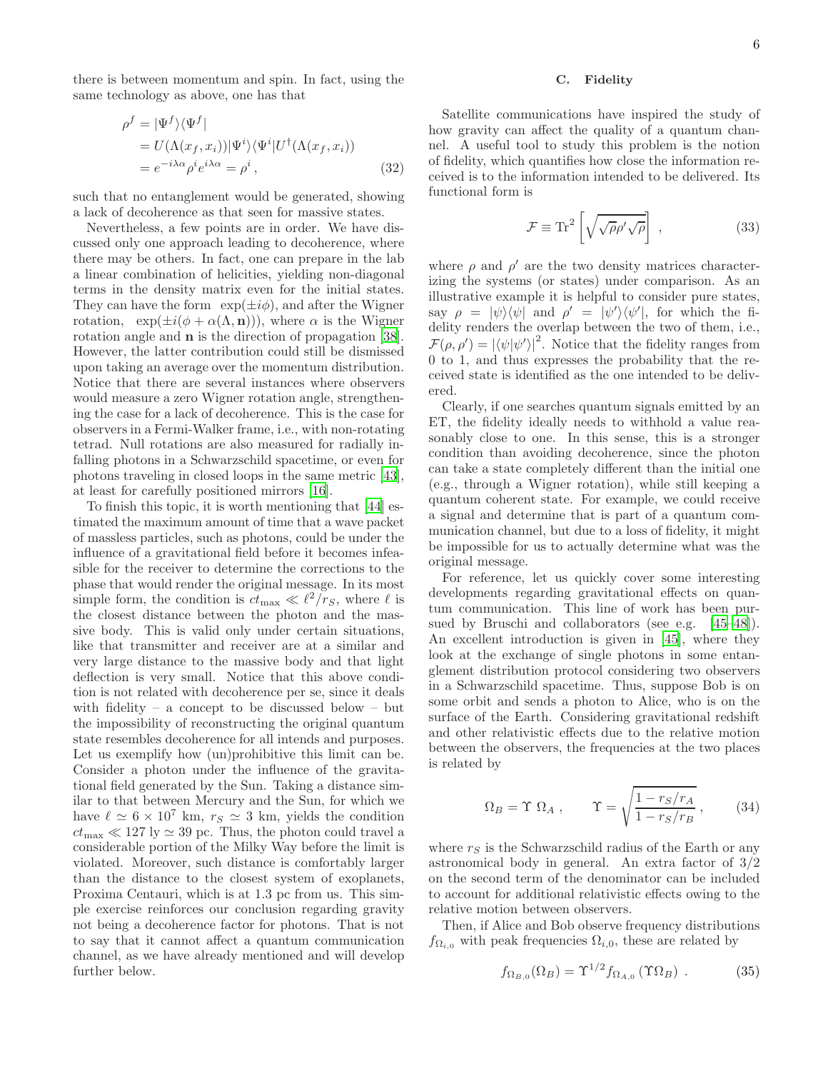there is between momentum and spin. In fact, using the same technology as above, one has that

$$
\rho^{f} = |\Psi^{f}\rangle\langle\Psi^{f}|
$$
  
=  $U(\Lambda(x_f, x_i))|\Psi^{i}\rangle\langle\Psi^{i}|U^{\dagger}(\Lambda(x_f, x_i))$   
=  $e^{-i\lambda\alpha}\rho^{i}e^{i\lambda\alpha} = \rho^{i}$ , (32)

such that no entanglement would be generated, showing a lack of decoherence as that seen for massive states.

Nevertheless, a few points are in order. We have discussed only one approach leading to decoherence, where there may be others. In fact, one can prepare in the lab a linear combination of helicities, yielding non-diagonal terms in the density matrix even for the initial states. They can have the form  $\exp(\pm i\phi)$ , and after the Wigner rotation,  $\exp(\pm i(\phi + \alpha(\Lambda, n)))$ , where  $\alpha$  is the Wigner rotation angle and n is the direction of propagation [\[38\]](#page-15-21). However, the latter contribution could still be dismissed upon taking an average over the momentum distribution. Notice that there are several instances where observers would measure a zero Wigner rotation angle, strengthening the case for a lack of decoherence. This is the case for observers in a Fermi-Walker frame, i.e., with non-rotating tetrad. Null rotations are also measured for radially infalling photons in a Schwarzschild spacetime, or even for photons traveling in closed loops in the same metric [\[43\]](#page-15-25), at least for carefully positioned mirrors [\[16\]](#page-15-0).

To finish this topic, it is worth mentioning that [\[44\]](#page-15-26) estimated the maximum amount of time that a wave packet of massless particles, such as photons, could be under the influence of a gravitational field before it becomes infeasible for the receiver to determine the corrections to the phase that would render the original message. In its most simple form, the condition is  $ct_{\text{max}} \ll \ell^2/r_S$ , where  $\ell$  is the closest distance between the photon and the massive body. This is valid only under certain situations, like that transmitter and receiver are at a similar and very large distance to the massive body and that light deflection is very small. Notice that this above condition is not related with decoherence per se, since it deals with fidelity – a concept to be discussed below – but the impossibility of reconstructing the original quantum state resembles decoherence for all intends and purposes. Let us exemplify how (un)prohibitive this limit can be. Consider a photon under the influence of the gravitational field generated by the Sun. Taking a distance similar to that between Mercury and the Sun, for which we have  $\ell \simeq 6 \times 10^7$  km,  $r_S \simeq 3$  km, yields the condition  $ct_{\text{max}} \ll 127 \text{ ly} \simeq 39 \text{ pc}$ . Thus, the photon could travel a considerable portion of the Milky Way before the limit is violated. Moreover, such distance is comfortably larger than the distance to the closest system of exoplanets, Proxima Centauri, which is at 1.3 pc from us. This simple exercise reinforces our conclusion regarding gravity not being a decoherence factor for photons. That is not to say that it cannot affect a quantum communication channel, as we have already mentioned and will develop further below.

### C. Fidelity

Satellite communications have inspired the study of how gravity can affect the quality of a quantum channel. A useful tool to study this problem is the notion of fidelity, which quantifies how close the information received is to the information intended to be delivered. Its functional form is

$$
\mathcal{F} \equiv \text{Tr}^2 \left[ \sqrt{\sqrt{\rho} \rho' \sqrt{\rho}} \right] , \qquad (33)
$$

where  $\rho$  and  $\rho'$  are the two density matrices characterizing the systems (or states) under comparison. As an illustrative example it is helpful to consider pure states, say  $\rho = |\psi\rangle\langle\psi|$  and  $\rho' = |\psi'\rangle\langle\psi'|$ , for which the fidelity renders the overlap between the two of them, i.e.,  $\mathcal{F}(\rho, \rho') = |\langle \psi | \psi' \rangle|^2$ . Notice that the fidelity ranges from 0 to 1, and thus expresses the probability that the received state is identified as the one intended to be delivered.

Clearly, if one searches quantum signals emitted by an ET, the fidelity ideally needs to withhold a value reasonably close to one. In this sense, this is a stronger condition than avoiding decoherence, since the photon can take a state completely different than the initial one (e.g., through a Wigner rotation), while still keeping a quantum coherent state. For example, we could receive a signal and determine that is part of a quantum communication channel, but due to a loss of fidelity, it might be impossible for us to actually determine what was the original message.

For reference, let us quickly cover some interesting developments regarding gravitational effects on quantum communication. This line of work has been pursued by Bruschi and collaborators (see e.g. [\[45](#page-15-27)[–48\]](#page-15-28)). An excellent introduction is given in [\[45\]](#page-15-27), where they look at the exchange of single photons in some entanglement distribution protocol considering two observers in a Schwarzschild spacetime. Thus, suppose Bob is on some orbit and sends a photon to Alice, who is on the surface of the Earth. Considering gravitational redshift and other relativistic effects due to the relative motion between the observers, the frequencies at the two places is related by

$$
\Omega_B = \Upsilon \ \Omega_A \ , \qquad \Upsilon = \sqrt{\frac{1 - r_S/r_A}{1 - r_S/r_B}} \ , \tag{34}
$$

where  $r<sub>S</sub>$  is the Schwarzschild radius of the Earth or any astronomical body in general. An extra factor of 3/2 on the second term of the denominator can be included to account for additional relativistic effects owing to the relative motion between observers.

Then, if Alice and Bob observe frequency distributions  $f_{\Omega_{i,0}}$  with peak frequencies  $\Omega_{i,0}$ , these are related by

$$
f_{\Omega_{B,0}}(\Omega_B) = \Upsilon^{1/2} f_{\Omega_{A,0}}(\Upsilon \Omega_B) . \tag{35}
$$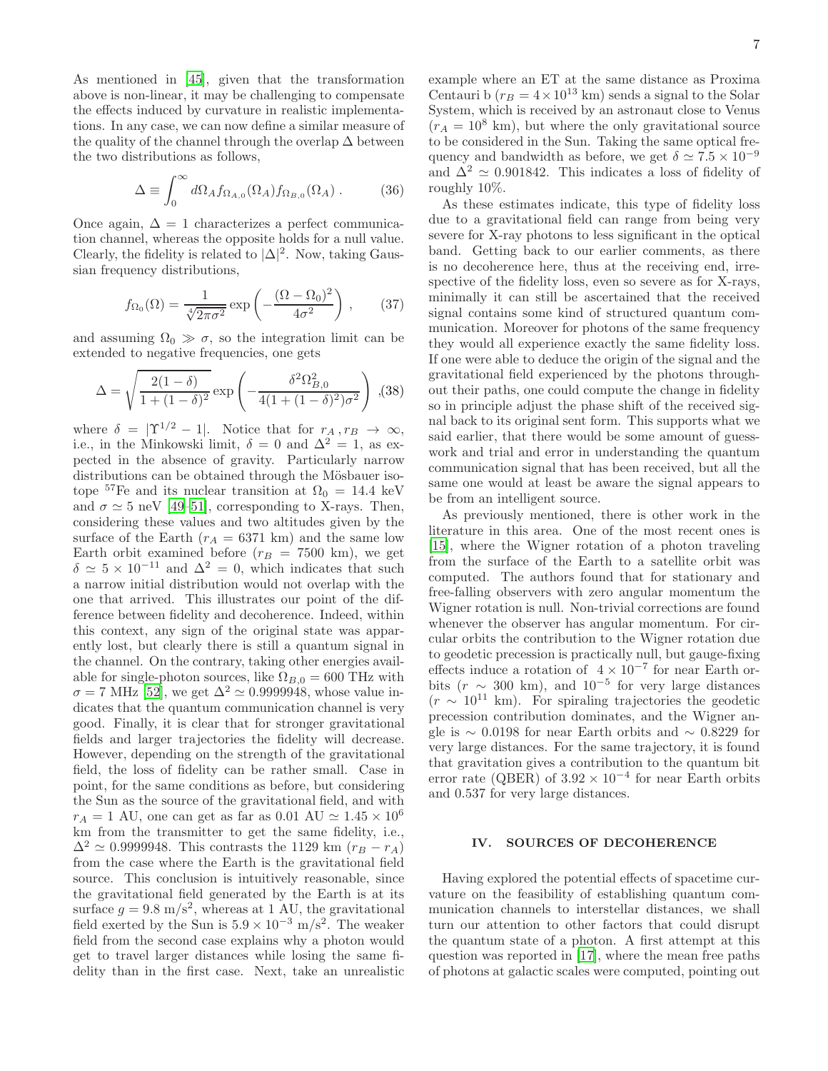As mentioned in [\[45\]](#page-15-27), given that the transformation above is non-linear, it may be challenging to compensate the effects induced by curvature in realistic implementations. In any case, we can now define a similar measure of the quality of the channel through the overlap  $\Delta$  between the two distributions as follows,

$$
\Delta \equiv \int_0^\infty d\Omega_A f_{\Omega_{A,0}}(\Omega_A) f_{\Omega_{B,0}}(\Omega_A) . \tag{36}
$$

Once again,  $\Delta = 1$  characterizes a perfect communication channel, whereas the opposite holds for a null value. Clearly, the fidelity is related to  $|\Delta|^2$ . Now, taking Gaussian frequency distributions,

$$
f_{\Omega_0}(\Omega) = \frac{1}{\sqrt[4]{2\pi\sigma^2}} \exp\left(-\frac{(\Omega - \Omega_0)^2}{4\sigma^2}\right),\qquad(37)
$$

and assuming  $\Omega_0 \gg \sigma$ , so the integration limit can be extended to negative frequencies, one gets

$$
\Delta = \sqrt{\frac{2(1-\delta)}{1+(1-\delta)^2}} \exp\left(-\frac{\delta^2 \Omega_{B,0}^2}{4(1+(1-\delta)^2)\sigma^2}\right) , (38)
$$

where  $\delta = |\Upsilon^{1/2} - 1|$ . Notice that for  $r_A, r_B \to \infty$ , i.e., in the Minkowski limit,  $\delta = 0$  and  $\Delta^2 = 1$ , as expected in the absence of gravity. Particularly narrow distributions can be obtained through the Mösbauer isotope <sup>57</sup>Fe and its nuclear transition at  $\Omega_0 = 14.4 \text{ keV}$ and  $\sigma \simeq 5$  neV [\[49](#page-15-29)[–51](#page-16-0)], corresponding to X-rays. Then, considering these values and two altitudes given by the surface of the Earth  $(r_A = 6371 \text{ km})$  and the same low Earth orbit examined before  $(r_B = 7500 \text{ km})$ , we get  $\delta \simeq 5 \times 10^{-11}$  and  $\Delta^2 = 0$ , which indicates that such a narrow initial distribution would not overlap with the one that arrived. This illustrates our point of the difference between fidelity and decoherence. Indeed, within this context, any sign of the original state was apparently lost, but clearly there is still a quantum signal in the channel. On the contrary, taking other energies available for single-photon sources, like  $\Omega_{B,0} = 600 \text{ THz}$  with  $\sigma = 7 \text{ MHz}$  [\[52](#page-16-1)], we get  $\Delta^2 \simeq 0.9999948$ , whose value indicates that the quantum communication channel is very good. Finally, it is clear that for stronger gravitational fields and larger trajectories the fidelity will decrease. However, depending on the strength of the gravitational field, the loss of fidelity can be rather small. Case in point, for the same conditions as before, but considering the Sun as the source of the gravitational field, and with  $r_A = 1$  AU, one can get as far as 0.01 AU  $\simeq 1.45 \times 10^6$ km from the transmitter to get the same fidelity, i.e.,  $\Delta^2 \simeq 0.9999948$ . This contrasts the 1129 km  $(r_B - r_A)$ from the case where the Earth is the gravitational field source. This conclusion is intuitively reasonable, since the gravitational field generated by the Earth is at its surface  $g = 9.8 \text{ m/s}^2$ , whereas at 1 AU, the gravitational field exerted by the Sun is  $5.9 \times 10^{-3}$  m/s<sup>2</sup>. The weaker field from the second case explains why a photon would get to travel larger distances while losing the same fidelity than in the first case. Next, take an unrealistic example where an ET at the same distance as Proxima Centauri b  $(r_B = 4 \times 10^{13} \text{ km})$  sends a signal to the Solar System, which is received by an astronaut close to Venus  $(r_A = 10^8 \text{ km})$ , but where the only gravitational source to be considered in the Sun. Taking the same optical frequency and bandwidth as before, we get  $\delta \simeq 7.5 \times 10^{-9}$ and  $\Delta^2 \simeq 0.901842$ . This indicates a loss of fidelity of roughly 10%.

As these estimates indicate, this type of fidelity loss due to a gravitational field can range from being very severe for X-ray photons to less significant in the optical band. Getting back to our earlier comments, as there is no decoherence here, thus at the receiving end, irrespective of the fidelity loss, even so severe as for X-rays, minimally it can still be ascertained that the received signal contains some kind of structured quantum communication. Moreover for photons of the same frequency they would all experience exactly the same fidelity loss. If one were able to deduce the origin of the signal and the gravitational field experienced by the photons throughout their paths, one could compute the change in fidelity so in principle adjust the phase shift of the received signal back to its original sent form. This supports what we said earlier, that there would be some amount of guesswork and trial and error in understanding the quantum communication signal that has been received, but all the same one would at least be aware the signal appears to be from an intelligent source.

As previously mentioned, there is other work in the literature in this area. One of the most recent ones is [\[15\]](#page-14-8), where the Wigner rotation of a photon traveling from the surface of the Earth to a satellite orbit was computed. The authors found that for stationary and free-falling observers with zero angular momentum the Wigner rotation is null. Non-trivial corrections are found whenever the observer has angular momentum. For circular orbits the contribution to the Wigner rotation due to geodetic precession is practically null, but gauge-fixing effects induce a rotation of  $4 \times 10^{-7}$  for near Earth orbits  $(r \sim 300 \text{ km})$ , and  $10^{-5}$  for very large distances  $(r \sim 10^{11} \text{ km})$ . For spiraling trajectories the geodetic precession contribution dominates, and the Wigner angle is  $\sim$  0.0198 for near Earth orbits and  $\sim$  0.8229 for very large distances. For the same trajectory, it is found that gravitation gives a contribution to the quantum bit error rate (QBER) of  $3.92 \times 10^{-4}$  for near Earth orbits and 0.537 for very large distances.

### IV. SOURCES OF DECOHERENCE

Having explored the potential effects of spacetime curvature on the feasibility of establishing quantum communication channels to interstellar distances, we shall turn our attention to other factors that could disrupt the quantum state of a photon. A first attempt at this question was reported in [\[17](#page-15-1)], where the mean free paths of photons at galactic scales were computed, pointing out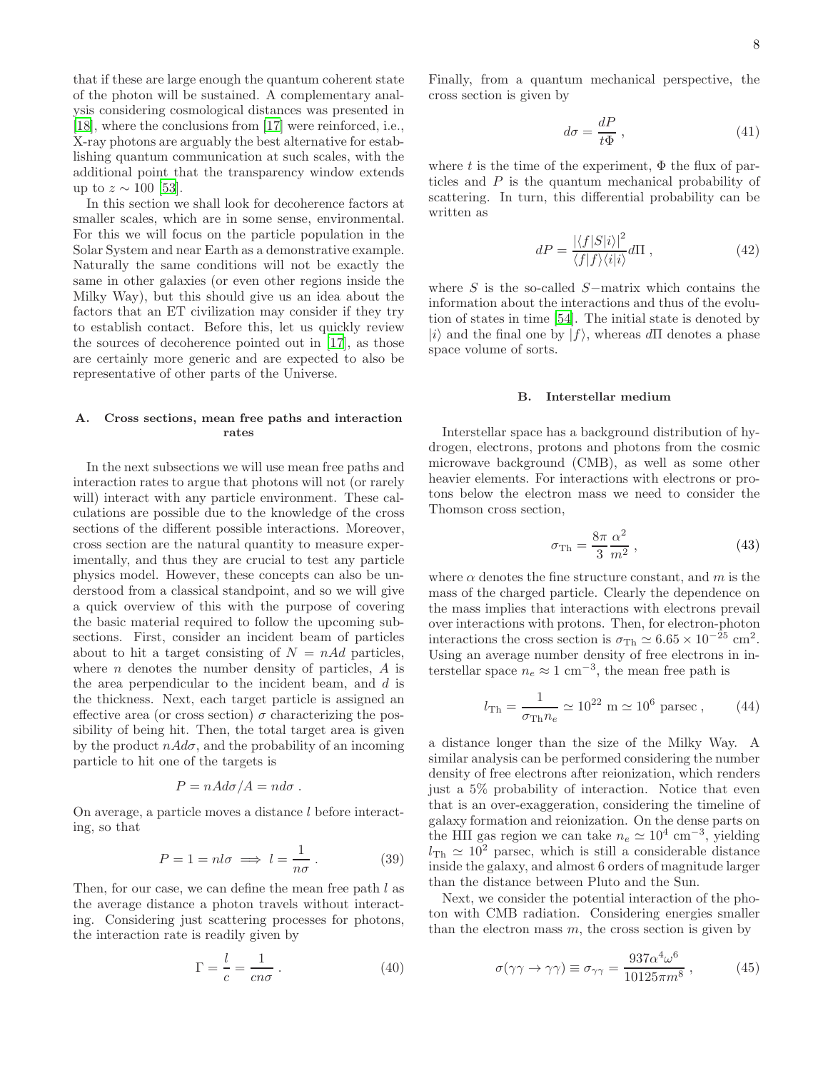that if these are large enough the quantum coherent state of the photon will be sustained. A complementary analysis considering cosmological distances was presented in [\[18\]](#page-15-2), where the conclusions from [\[17](#page-15-1)] were reinforced, i.e., X-ray photons are arguably the best alternative for establishing quantum communication at such scales, with the additional point that the transparency window extends up to  $z \sim 100$  [\[53\]](#page-16-2).

In this section we shall look for decoherence factors at smaller scales, which are in some sense, environmental. For this we will focus on the particle population in the Solar System and near Earth as a demonstrative example. Naturally the same conditions will not be exactly the same in other galaxies (or even other regions inside the Milky Way), but this should give us an idea about the factors that an ET civilization may consider if they try to establish contact. Before this, let us quickly review the sources of decoherence pointed out in [\[17](#page-15-1)], as those are certainly more generic and are expected to also be representative of other parts of the Universe.

### A. Cross sections, mean free paths and interaction rates

In the next subsections we will use mean free paths and interaction rates to argue that photons will not (or rarely will) interact with any particle environment. These calculations are possible due to the knowledge of the cross sections of the different possible interactions. Moreover, cross section are the natural quantity to measure experimentally, and thus they are crucial to test any particle physics model. However, these concepts can also be understood from a classical standpoint, and so we will give a quick overview of this with the purpose of covering the basic material required to follow the upcoming subsections. First, consider an incident beam of particles about to hit a target consisting of  $N = n \text{Ad}$  particles, where  $n$  denotes the number density of particles,  $A$  is the area perpendicular to the incident beam, and d is the thickness. Next, each target particle is assigned an effective area (or cross section)  $\sigma$  characterizing the possibility of being hit. Then, the total target area is given by the product  $n\dot{A}d\sigma$ , and the probability of an incoming particle to hit one of the targets is

$$
P = nA d\sigma / A = nd\sigma .
$$

On average, a particle moves a distance l before interacting, so that

$$
P = 1 = nl\sigma \implies l = \frac{1}{n\sigma}.
$$
 (39)

Then, for our case, we can define the mean free path l as the average distance a photon travels without interacting. Considering just scattering processes for photons, the interaction rate is readily given by

$$
\Gamma = \frac{l}{c} = \frac{1}{cn\sigma} \,. \tag{40}
$$

Finally, from a quantum mechanical perspective, the cross section is given by

$$
d\sigma = \frac{dP}{t\Phi} \,,\tag{41}
$$

where t is the time of the experiment,  $\Phi$  the flux of particles and P is the quantum mechanical probability of scattering. In turn, this differential probability can be written as

$$
dP = \frac{|\langle f|S|i\rangle|^2}{\langle f|f\rangle\langle i|i\rangle} d\Pi , \qquad (42)
$$

where S is the so-called S−matrix which contains the information about the interactions and thus of the evolution of states in time [\[54](#page-16-3)]. The initial state is denoted by |i| and the final one by  $|f\rangle$ , whereas dII denotes a phase space volume of sorts.

#### B. Interstellar medium

Interstellar space has a background distribution of hydrogen, electrons, protons and photons from the cosmic microwave background (CMB), as well as some other heavier elements. For interactions with electrons or protons below the electron mass we need to consider the Thomson cross section,

<span id="page-7-0"></span>
$$
\sigma_{\rm Th} = \frac{8\pi}{3} \frac{\alpha^2}{m^2} \,, \tag{43}
$$

where  $\alpha$  denotes the fine structure constant, and m is the mass of the charged particle. Clearly the dependence on the mass implies that interactions with electrons prevail over interactions with protons. Then, for electron-photon interactions the cross section is  $\sigma_{\text{Th}} \simeq 6.65 \times 10^{-25} \text{ cm}^2$ . Using an average number density of free electrons in interstellar space  $n_e \approx 1 \text{ cm}^{-3}$ , the mean free path is

$$
l_{\rm Th} = \frac{1}{\sigma_{\rm Th} n_e} \simeq 10^{22} \, \mathrm{m} \simeq 10^6 \, \mathrm{parsec} \,, \qquad (44)
$$

a distance longer than the size of the Milky Way. A similar analysis can be performed considering the number density of free electrons after reionization, which renders just a 5% probability of interaction. Notice that even that is an over-exaggeration, considering the timeline of galaxy formation and reionization. On the dense parts on the HII gas region we can take  $n_e \simeq 10^4$  cm<sup>-3</sup>, yielding  $l_{\text{Th}} \simeq 10^2$  parsec, which is still a considerable distance inside the galaxy, and almost 6 orders of magnitude larger than the distance between Pluto and the Sun.

Next, we consider the potential interaction of the photon with CMB radiation. Considering energies smaller than the electron mass  $m$ , the cross section is given by

<span id="page-7-1"></span>
$$
\sigma(\gamma \gamma \to \gamma \gamma) \equiv \sigma_{\gamma \gamma} = \frac{937 \alpha^4 \omega^6}{10125 \pi m^8} , \qquad (45)
$$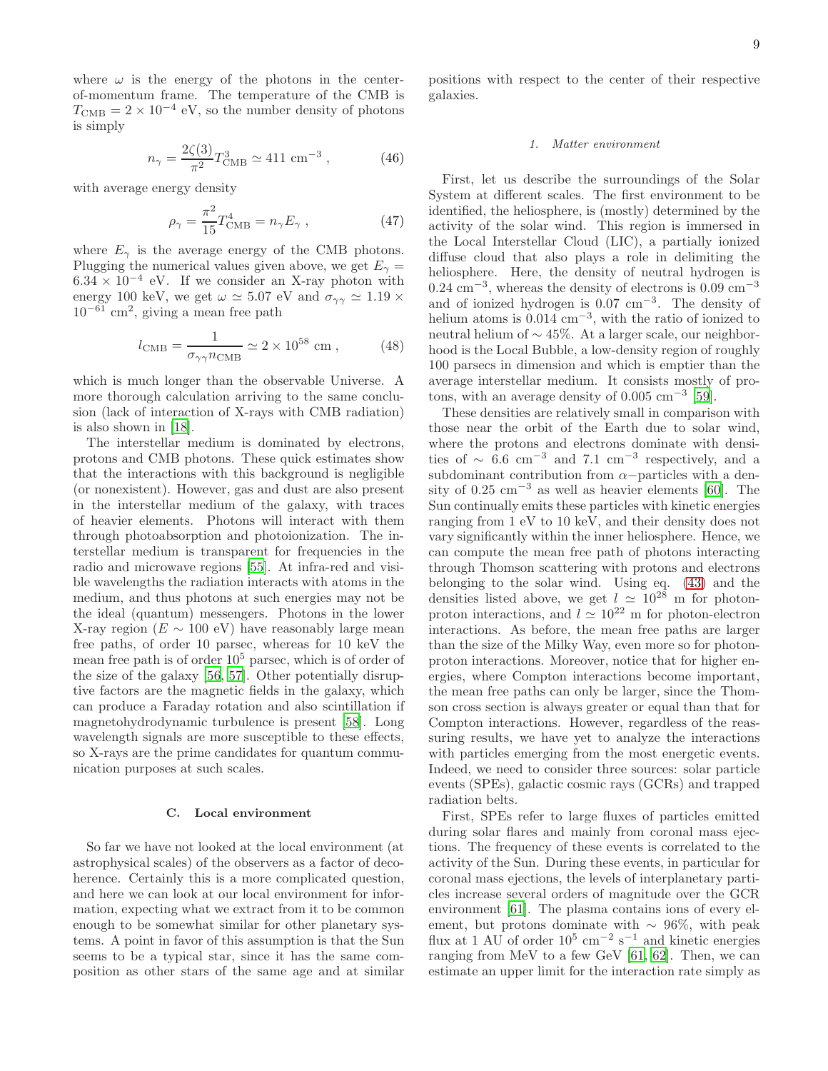where  $\omega$  is the energy of the photons in the centerof-momentum frame. The temperature of the CMB is  $T_{\text{CMB}} = 2 \times 10^{-4} \text{ eV}$ , so the number density of photons is simply

$$
n_{\gamma} = \frac{2\zeta(3)}{\pi^2} T_{\text{CMB}}^3 \simeq 411 \text{ cm}^{-3} , \qquad (46)
$$

with average energy density

$$
\rho_{\gamma} = \frac{\pi^2}{15} T_{\text{CMB}}^4 = n_{\gamma} E_{\gamma} , \qquad (47)
$$

where  $E_{\gamma}$  is the average energy of the CMB photons. Plugging the numerical values given above, we get  $E_{\gamma}$  =  $6.34 \times 10^{-4}$  eV. If we consider an X-ray photon with energy 100 keV, we get  $\omega \simeq 5.07$  eV and  $\sigma_{\gamma\gamma} \simeq 1.19 \times$  $10^{-61}$  cm<sup>2</sup>, giving a mean free path

$$
l_{\text{CMB}} = \frac{1}{\sigma_{\gamma\gamma} n_{\text{CMB}}} \simeq 2 \times 10^{58} \text{ cm} , \qquad (48)
$$

which is much longer than the observable Universe. A more thorough calculation arriving to the same conclusion (lack of interaction of X-rays with CMB radiation) is also shown in [\[18\]](#page-15-2).

The interstellar medium is dominated by electrons, protons and CMB photons. These quick estimates show that the interactions with this background is negligible (or nonexistent). However, gas and dust are also present in the interstellar medium of the galaxy, with traces of heavier elements. Photons will interact with them through photoabsorption and photoionization. The interstellar medium is transparent for frequencies in the radio and microwave regions [\[55\]](#page-16-4). At infra-red and visible wavelengths the radiation interacts with atoms in the medium, and thus photons at such energies may not be the ideal (quantum) messengers. Photons in the lower X-ray region ( $E \sim 100$  eV) have reasonably large mean free paths, of order 10 parsec, whereas for 10 keV the mean free path is of order  $10<sup>5</sup>$  parsec, which is of order of the size of the galaxy [\[56](#page-16-5), [57](#page-16-6)]. Other potentially disruptive factors are the magnetic fields in the galaxy, which can produce a Faraday rotation and also scintillation if magnetohydrodynamic turbulence is present [\[58\]](#page-16-7). Long wavelength signals are more susceptible to these effects, so X-rays are the prime candidates for quantum communication purposes at such scales.

#### C. Local environment

So far we have not looked at the local environment (at astrophysical scales) of the observers as a factor of decoherence. Certainly this is a more complicated question, and here we can look at our local environment for information, expecting what we extract from it to be common enough to be somewhat similar for other planetary systems. A point in favor of this assumption is that the Sun seems to be a typical star, since it has the same composition as other stars of the same age and at similar

positions with respect to the center of their respective galaxies.

#### *1. Matter environment*

First, let us describe the surroundings of the Solar System at different scales. The first environment to be identified, the heliosphere, is (mostly) determined by the activity of the solar wind. This region is immersed in the Local Interstellar Cloud (LIC), a partially ionized diffuse cloud that also plays a role in delimiting the heliosphere. Here, the density of neutral hydrogen is  $0.24 \text{ cm}^{-3}$ , whereas the density of electrons is  $0.09 \text{ cm}^{-3}$ and of ionized hydrogen is 0.07 cm−<sup>3</sup> . The density of helium atoms is 0.014 cm−<sup>3</sup> , with the ratio of ionized to neutral helium of ∼ 45%. At a larger scale, our neighborhood is the Local Bubble, a low-density region of roughly 100 parsecs in dimension and which is emptier than the average interstellar medium. It consists mostly of protons, with an average density of  $0.005 \text{ cm}^{-3}$  [\[59\]](#page-16-8).

These densities are relatively small in comparison with those near the orbit of the Earth due to solar wind, where the protons and electrons dominate with densities of  $\sim 6.6$  cm<sup>-3</sup> and 7.1 cm<sup>-3</sup> respectively, and a subdominant contribution from  $\alpha$ −particles with a density of  $0.25 \text{ cm}^{-3}$  as well as heavier elements [\[60](#page-16-9)]. The Sun continually emits these particles with kinetic energies ranging from 1 eV to 10 keV, and their density does not vary significantly within the inner heliosphere. Hence, we can compute the mean free path of photons interacting through Thomson scattering with protons and electrons belonging to the solar wind. Using eq. [\(43\)](#page-7-0) and the densities listed above, we get  $l \approx 10^{28}$  m for photonproton interactions, and  $l \simeq 10^{22}$  m for photon-electron interactions. As before, the mean free paths are larger than the size of the Milky Way, even more so for photonproton interactions. Moreover, notice that for higher energies, where Compton interactions become important, the mean free paths can only be larger, since the Thomson cross section is always greater or equal than that for Compton interactions. However, regardless of the reassuring results, we have yet to analyze the interactions with particles emerging from the most energetic events. Indeed, we need to consider three sources: solar particle events (SPEs), galactic cosmic rays (GCRs) and trapped radiation belts.

First, SPEs refer to large fluxes of particles emitted during solar flares and mainly from coronal mass ejections. The frequency of these events is correlated to the activity of the Sun. During these events, in particular for coronal mass ejections, the levels of interplanetary particles increase several orders of magnitude over the GCR environment [\[61](#page-16-10)]. The plasma contains ions of every element, but protons dominate with  $~\sim~96\%$ , with peak flux at 1 AU of order  $10^5 \text{ cm}^{-2} \text{ s}^{-1}$  and kinetic energies ranging from MeV to a few GeV [\[61,](#page-16-10) [62\]](#page-16-11). Then, we can estimate an upper limit for the interaction rate simply as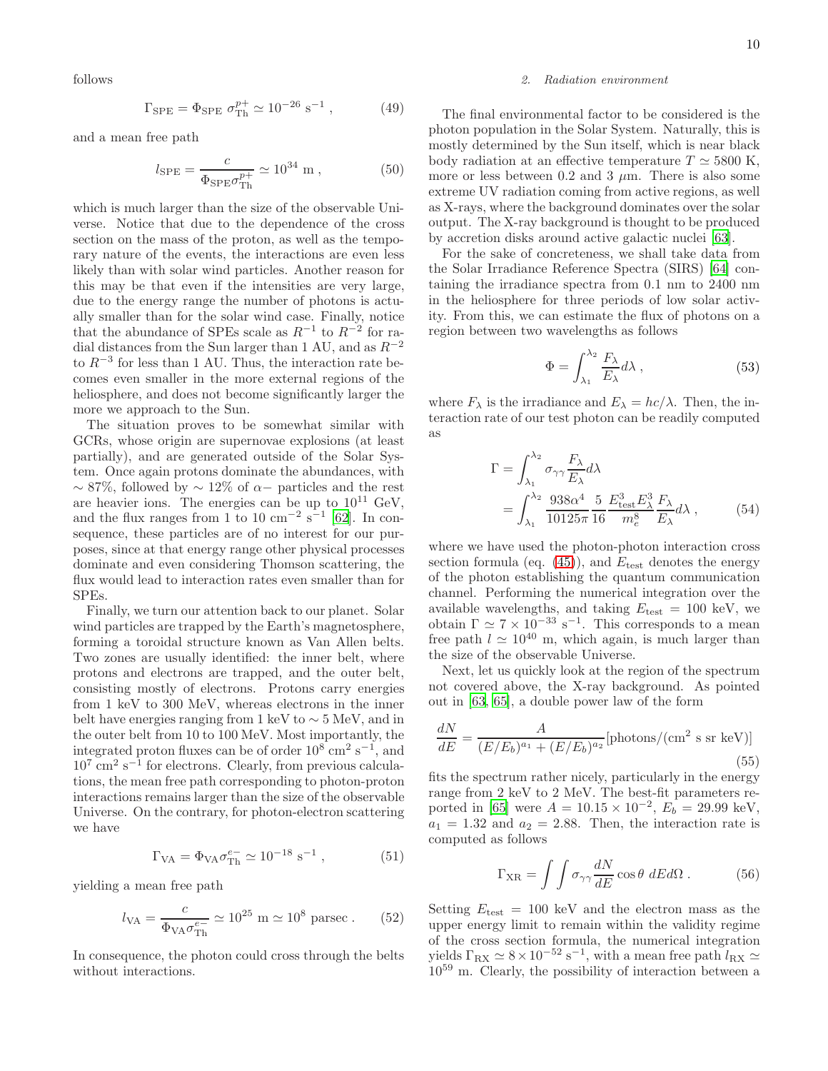follows

$$
\Gamma_{\rm SPE} = \Phi_{\rm SPE} \sigma_{\rm Th}^{p+} \simeq 10^{-26} \, \text{s}^{-1} \,, \tag{49}
$$

and a mean free path

$$
l_{\rm SPE} = \frac{c}{\Phi_{\rm SPE} \sigma_{\rm Th}^{p+}} \simeq 10^{34} \, \text{m} \,, \tag{50}
$$

which is much larger than the size of the observable Universe. Notice that due to the dependence of the cross section on the mass of the proton, as well as the temporary nature of the events, the interactions are even less likely than with solar wind particles. Another reason for this may be that even if the intensities are very large, due to the energy range the number of photons is actually smaller than for the solar wind case. Finally, notice that the abundance of SPEs scale as  $R^{-1}$  to  $R^{-2}$  for radial distances from the Sun larger than 1 AU, and as  $R^{-2}$ to  $R^{-3}$  for less than 1 AU. Thus, the interaction rate becomes even smaller in the more external regions of the heliosphere, and does not become significantly larger the more we approach to the Sun.

The situation proves to be somewhat similar with GCRs, whose origin are supernovae explosions (at least partially), and are generated outside of the Solar System. Once again protons dominate the abundances, with  $\sim$  87%, followed by  $\sim$  12% of  $\alpha$ − particles and the rest are heavier ions. The energies can be up to  $10^{11}$  GeV, and the flux ranges from 1 to 10 cm<sup>-2</sup> s<sup>-1</sup> [\[62\]](#page-16-11). In consequence, these particles are of no interest for our purposes, since at that energy range other physical processes dominate and even considering Thomson scattering, the flux would lead to interaction rates even smaller than for SPEs.

Finally, we turn our attention back to our planet. Solar wind particles are trapped by the Earth's magnetosphere, forming a toroidal structure known as Van Allen belts. Two zones are usually identified: the inner belt, where protons and electrons are trapped, and the outer belt, consisting mostly of electrons. Protons carry energies from 1 keV to 300 MeV, whereas electrons in the inner belt have energies ranging from 1 keV to ∼ 5 MeV, and in the outer belt from 10 to 100 MeV. Most importantly, the integrated proton fluxes can be of order  $10^8$  cm<sup>2</sup> s<sup>-1</sup>, and  $10^7$  cm<sup>2</sup> s<sup>-1</sup> for electrons. Clearly, from previous calculations, the mean free path corresponding to photon-proton interactions remains larger than the size of the observable Universe. On the contrary, for photon-electron scattering we have

$$
\Gamma_{\text{VA}} = \Phi_{\text{VA}} \sigma_{\text{Th}}^{e-} \simeq 10^{-18} \text{ s}^{-1} , \qquad (51)
$$

yielding a mean free path

$$
l_{\text{VA}} = \frac{c}{\Phi_{\text{VA}} \sigma_{\text{Th}}^{e-}} \simeq 10^{25} \text{ m} \simeq 10^8 \text{ parsec}. \qquad (52)
$$

In consequence, the photon could cross through the belts without interactions.

### *2. Radiation environment*

The final environmental factor to be considered is the photon population in the Solar System. Naturally, this is mostly determined by the Sun itself, which is near black body radiation at an effective temperature  $T \simeq 5800$  K, more or less between 0.2 and 3  $\mu$ m. There is also some extreme UV radiation coming from active regions, as well as X-rays, where the background dominates over the solar output. The X-ray background is thought to be produced by accretion disks around active galactic nuclei [\[63\]](#page-16-12).

For the sake of concreteness, we shall take data from the Solar Irradiance Reference Spectra (SIRS) [\[64](#page-16-13)] containing the irradiance spectra from 0.1 nm to 2400 nm in the heliosphere for three periods of low solar activity. From this, we can estimate the flux of photons on a region between two wavelengths as follows

<span id="page-9-0"></span>
$$
\Phi = \int_{\lambda_1}^{\lambda_2} \frac{F_{\lambda}}{E_{\lambda}} d\lambda \,, \tag{53}
$$

where  $F_{\lambda}$  is the irradiance and  $E_{\lambda} = hc/\lambda$ . Then, the interaction rate of our test photon can be readily computed as

$$
\Gamma = \int_{\lambda_1}^{\lambda_2} \sigma_{\gamma\gamma} \frac{F_{\lambda}}{E_{\lambda}} d\lambda
$$
  
= 
$$
\int_{\lambda_1}^{\lambda_2} \frac{938\alpha^4}{10125\pi} \frac{5}{16} \frac{E_{\text{test}}^3 E_{\lambda}^3}{m_e^8} \frac{F_{\lambda}}{E_{\lambda}} d\lambda , \qquad (54)
$$

where we have used the photon-photon interaction cross section formula (eq.  $(45)$ ), and  $E_{\text{test}}$  denotes the energy of the photon establishing the quantum communication channel. Performing the numerical integration over the available wavelengths, and taking  $E_{\text{test}} = 100 \text{ keV}$ , we obtain  $\Gamma \simeq 7 \times 10^{-33} \text{ s}^{-1}$ . This corresponds to a mean free path  $l \approx 10^{40}$  m, which again, is much larger than the size of the observable Universe.

Next, let us quickly look at the region of the spectrum not covered above, the X-ray background. As pointed out in [\[63](#page-16-12), [65](#page-16-14)], a double power law of the form

$$
\frac{dN}{dE} = \frac{A}{(E/E_b)^{a_1} + (E/E_b)^{a_2}}[\text{photons}/(\text{cm}^2 \text{ s sr keV})]
$$
\n(55)

fits the spectrum rather nicely, particularly in the energy range from 2 keV to 2 MeV. The best-fit parameters re-ported in [\[65](#page-16-14)] were  $A = 10.15 \times 10^{-2}$ ,  $E_b = 29.99$  keV,  $a_1 = 1.32$  and  $a_2 = 2.88$ . Then, the interaction rate is computed as follows

$$
\Gamma_{\rm XR} = \int \int \sigma_{\gamma\gamma} \frac{dN}{dE} \cos\theta \, dEd\Omega \,. \tag{56}
$$

Setting  $E_{\text{test}} = 100 \text{ keV}$  and the electron mass as the upper energy limit to remain within the validity regime of the cross section formula, the numerical integration yields  $\Gamma_{\rm RX} \simeq 8 \times 10^{-52} \text{ s}^{-1}$ , with a mean free path  $l_{\rm RX} \simeq$ 10<sup>59</sup> m. Clearly, the possibility of interaction between a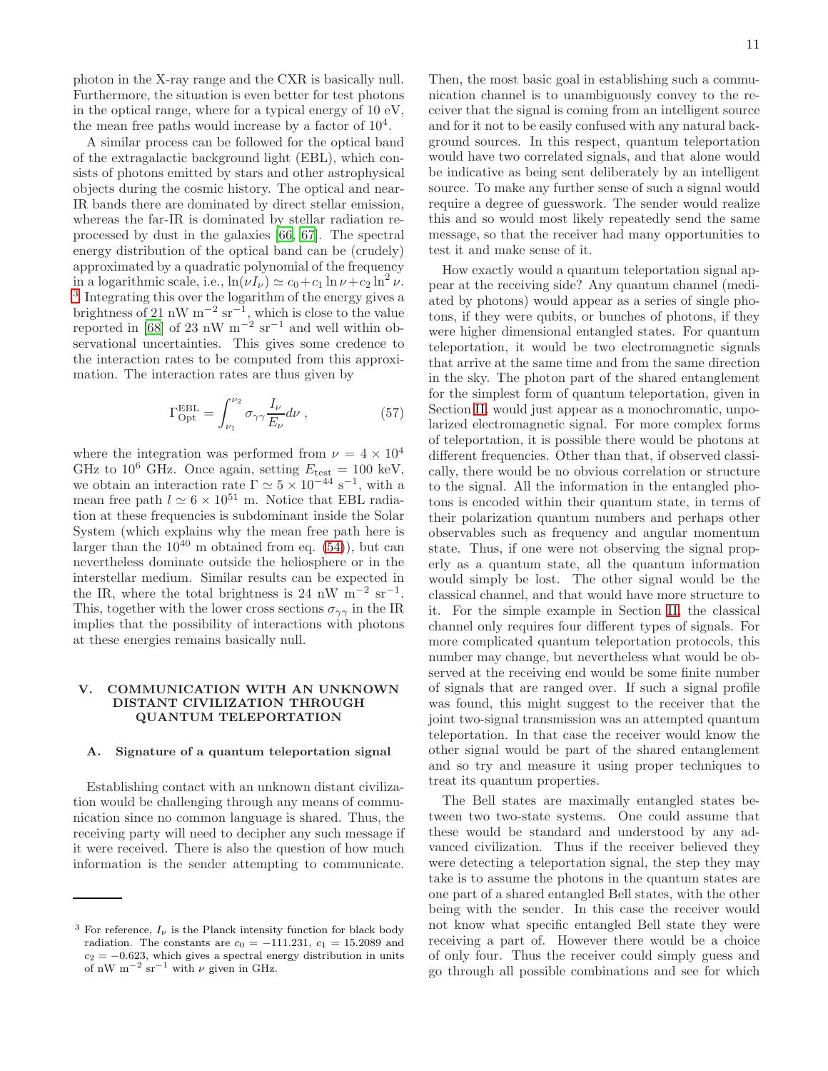photon in the X-ray range and the CXR is basically null. Furthermore, the situation is even better for test photons in the optical range, where for a typical energy of 10 eV, the mean free paths would increase by a factor of  $10^4$ .

A similar process can be followed for the optical band of the extragalactic background light (EBL), which consists of photons emitted by stars and other astrophysical objects during the cosmic history. The optical and near-IR bands there are dominated by direct stellar emission, whereas the far-IR is dominated by stellar radiation reprocessed by dust in the galaxies [\[66](#page-16-15), [67\]](#page-16-16). The spectral energy distribution of the optical band can be (crudely) approximated by a quadratic polynomial of the frequency in a logarithmic scale, i.e.,  $\ln(\nu I_{\nu}) \simeq c_0 + c_1 \ln \nu + c_2 \ln^2 \nu$ . <sup>[3](#page-10-0)</sup> Integrating this over the logarithm of the energy gives a brightness of 21 nW  $m^{-2}$  sr<sup>-1</sup>, which is close to the value reported in [\[68\]](#page-16-17) of 23 nW  $m^{-2}$  sr<sup>-1</sup> and well within observational uncertainties. This gives some credence to the interaction rates to be computed from this approximation. The interaction rates are thus given by

$$
\Gamma_{\rm Opt}^{\rm EBL} = \int_{\nu_1}^{\nu_2} \sigma_{\gamma\gamma} \frac{I_\nu}{E_\nu} d\nu , \qquad (57)
$$

where the integration was performed from  $\nu = 4 \times 10^4$ GHz to  $10^6$  GHz. Once again, setting  $E_{\text{test}} = 100 \text{ keV}$ , we obtain an interaction rate  $\Gamma \simeq 5 \times 10^{-44} \text{ s}^{-1}$ , with a mean free path  $l \approx 6 \times 10^{51}$  m. Notice that EBL radiation at these frequencies is subdominant inside the Solar System (which explains why the mean free path here is larger than the  $10^{40}$  m obtained from eq. [\(54\)](#page-9-0)), but can nevertheless dominate outside the heliosphere or in the interstellar medium. Similar results can be expected in the IR, where the total brightness is 24 nW  $m^{-2}$  sr<sup>-1</sup>. This, together with the lower cross sections  $\sigma_{\gamma\gamma}$  in the IR implies that the possibility of interactions with photons at these energies remains basically null.

## V. COMMUNICATION WITH AN UNKNOWN DISTANT CIVILIZATION THROUGH QUANTUM TELEPORTATION

### A. Signature of a quantum teleportation signal

Establishing contact with an unknown distant civilization would be challenging through any means of communication since no common language is shared. Thus, the receiving party will need to decipher any such message if it were received. There is also the question of how much information is the sender attempting to communicate.

Then, the most basic goal in establishing such a communication channel is to unambiguously convey to the receiver that the signal is coming from an intelligent source and for it not to be easily confused with any natural background sources. In this respect, quantum teleportation would have two correlated signals, and that alone would be indicative as being sent deliberately by an intelligent source. To make any further sense of such a signal would require a degree of guesswork. The sender would realize this and so would most likely repeatedly send the same message, so that the receiver had many opportunities to test it and make sense of it.

How exactly would a quantum teleportation signal appear at the receiving side? Any quantum channel (mediated by photons) would appear as a series of single photons, if they were qubits, or bunches of photons, if they were higher dimensional entangled states. For quantum teleportation, it would be two electromagnetic signals that arrive at the same time and from the same direction in the sky. The photon part of the shared entanglement for the simplest form of quantum teleportation, given in Section [II,](#page-2-1) would just appear as a monochromatic, unpolarized electromagnetic signal. For more complex forms of teleportation, it is possible there would be photons at different frequencies. Other than that, if observed classically, there would be no obvious correlation or structure to the signal. All the information in the entangled photons is encoded within their quantum state, in terms of their polarization quantum numbers and perhaps other observables such as frequency and angular momentum state. Thus, if one were not observing the signal properly as a quantum state, all the quantum information would simply be lost. The other signal would be the classical channel, and that would have more structure to it. For the simple example in Section [II,](#page-2-1) the classical channel only requires four different types of signals. For more complicated quantum teleportation protocols, this number may change, but nevertheless what would be observed at the receiving end would be some finite number of signals that are ranged over. If such a signal profile was found, this might suggest to the receiver that the joint two-signal transmission was an attempted quantum teleportation. In that case the receiver would know the other signal would be part of the shared entanglement and so try and measure it using proper techniques to treat its quantum properties.

The Bell states are maximally entangled states between two two-state systems. One could assume that these would be standard and understood by any advanced civilization. Thus if the receiver believed they were detecting a teleportation signal, the step they may take is to assume the photons in the quantum states are one part of a shared entangled Bell states, with the other being with the sender. In this case the receiver would not know what specific entangled Bell state they were receiving a part of. However there would be a choice of only four. Thus the receiver could simply guess and go through all possible combinations and see for which

<span id="page-10-0"></span><sup>&</sup>lt;sup>3</sup> For reference,  $I_{\nu}$  is the Planck intensity function for black body radiation. The constants are  $c_0 = -111.231$ ,  $c_1 = 15.2089$  and  $c_2 = -0.623$ , which gives a spectral energy distribution in units of nW m<sup>-2</sup> sr<sup>-1</sup> with  $\nu$  given in GHz.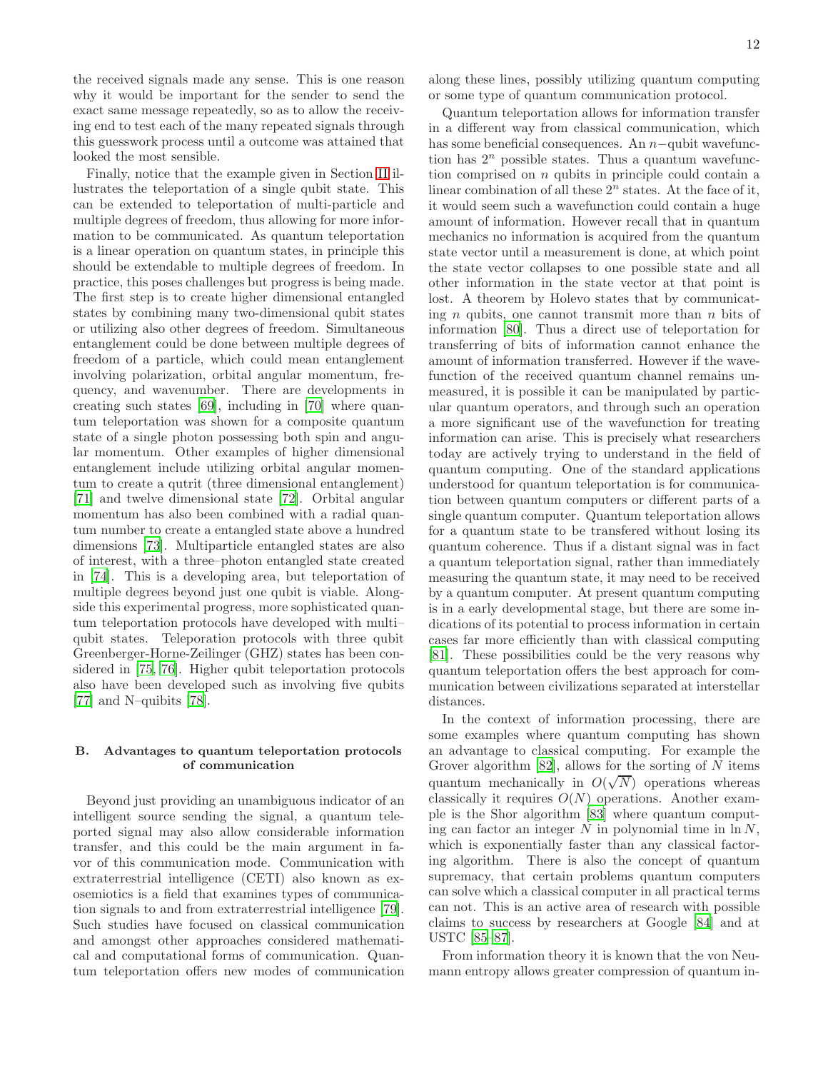the received signals made any sense. This is one reason why it would be important for the sender to send the exact same message repeatedly, so as to allow the receiving end to test each of the many repeated signals through this guesswork process until a outcome was attained that looked the most sensible.

Finally, notice that the example given in Section [II](#page-2-1) illustrates the teleportation of a single qubit state. This can be extended to teleportation of multi-particle and multiple degrees of freedom, thus allowing for more information to be communicated. As quantum teleportation is a linear operation on quantum states, in principle this should be extendable to multiple degrees of freedom. In practice, this poses challenges but progress is being made. The first step is to create higher dimensional entangled states by combining many two-dimensional qubit states or utilizing also other degrees of freedom. Simultaneous entanglement could be done between multiple degrees of freedom of a particle, which could mean entanglement involving polarization, orbital angular momentum, frequency, and wavenumber. There are developments in creating such states [\[69\]](#page-16-18), including in [\[70\]](#page-16-19) where quantum teleportation was shown for a composite quantum state of a single photon possessing both spin and angular momentum. Other examples of higher dimensional entanglement include utilizing orbital angular momentum to create a qutrit (three dimensional entanglement) [\[71\]](#page-16-20) and twelve dimensional state [\[72\]](#page-16-21). Orbital angular momentum has also been combined with a radial quantum number to create a entangled state above a hundred dimensions [\[73](#page-16-22)]. Multiparticle entangled states are also of interest, with a three–photon entangled state created in [\[74](#page-16-23)]. This is a developing area, but teleportation of multiple degrees beyond just one qubit is viable. Alongside this experimental progress, more sophisticated quantum teleportation protocols have developed with multi– qubit states. Teleporation protocols with three qubit Greenberger-Horne-Zeilinger (GHZ) states has been considered in [\[75,](#page-16-24) [76](#page-16-25)]. Higher qubit teleportation protocols also have been developed such as involving five qubits [\[77\]](#page-16-26) and N–quibits [\[78](#page-16-27)].

### B. Advantages to quantum teleportation protocols of communication

Beyond just providing an unambiguous indicator of an intelligent source sending the signal, a quantum teleported signal may also allow considerable information transfer, and this could be the main argument in favor of this communication mode. Communication with extraterrestrial intelligence (CETI) also known as exosemiotics is a field that examines types of communication signals to and from extraterrestrial intelligence [\[79\]](#page-16-28). Such studies have focused on classical communication and amongst other approaches considered mathematical and computational forms of communication. Quantum teleportation offers new modes of communication along these lines, possibly utilizing quantum computing or some type of quantum communication protocol.

Quantum teleportation allows for information transfer in a different way from classical communication, which has some beneficial consequences. An n−qubit wavefunction has  $2^n$  possible states. Thus a quantum wavefunction comprised on  $n$  qubits in principle could contain a linear combination of all these  $2<sup>n</sup>$  states. At the face of it, it would seem such a wavefunction could contain a huge amount of information. However recall that in quantum mechanics no information is acquired from the quantum state vector until a measurement is done, at which point the state vector collapses to one possible state and all other information in the state vector at that point is lost. A theorem by Holevo states that by communicating  $n$  qubits, one cannot transmit more than  $n$  bits of information [\[80](#page-16-29)]. Thus a direct use of teleportation for transferring of bits of information cannot enhance the amount of information transferred. However if the wavefunction of the received quantum channel remains unmeasured, it is possible it can be manipulated by particular quantum operators, and through such an operation a more significant use of the wavefunction for treating information can arise. This is precisely what researchers today are actively trying to understand in the field of quantum computing. One of the standard applications understood for quantum teleportation is for communication between quantum computers or different parts of a single quantum computer. Quantum teleportation allows for a quantum state to be transfered without losing its quantum coherence. Thus if a distant signal was in fact a quantum teleportation signal, rather than immediately measuring the quantum state, it may need to be received by a quantum computer. At present quantum computing is in a early developmental stage, but there are some indications of its potential to process information in certain cases far more efficiently than with classical computing [\[81\]](#page-16-30). These possibilities could be the very reasons why quantum teleportation offers the best approach for communication between civilizations separated at interstellar distances.

In the context of information processing, there are some examples where quantum computing has shown an advantage to classical computing. For example the Grover algorithm  $[82]$ , allows for the sorting of N items quantum mechanically in  $O(\sqrt{N})$  operations whereas classically it requires  $O(N)$  operations. Another example is the Shor algorithm [\[83](#page-16-32)] where quantum computing can factor an integer  $N$  in polynomial time in  $\ln N$ , which is exponentially faster than any classical factoring algorithm. There is also the concept of quantum supremacy, that certain problems quantum computers can solve which a classical computer in all practical terms can not. This is an active area of research with possible claims to success by researchers at Google [\[84](#page-16-33)] and at USTC [\[85–](#page-16-34)[87\]](#page-17-0).

From information theory it is known that the von Neumann entropy allows greater compression of quantum in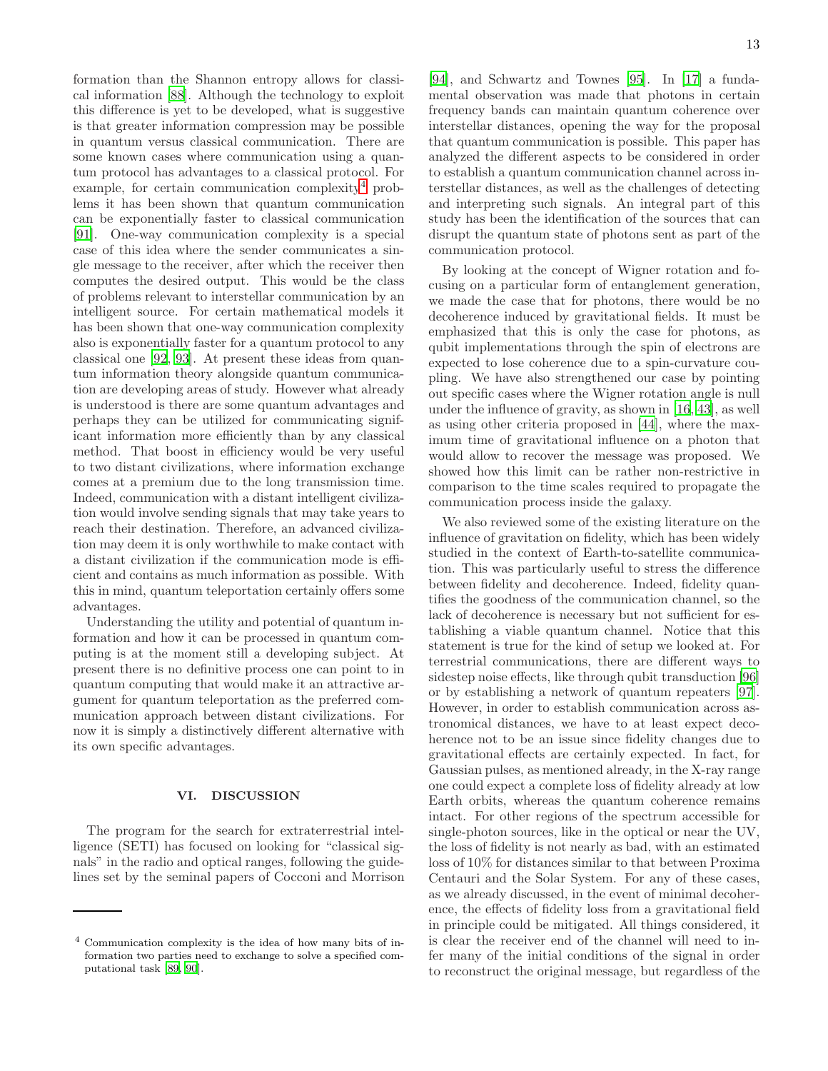formation than the Shannon entropy allows for classical information [\[88](#page-17-1)]. Although the technology to exploit this difference is yet to be developed, what is suggestive is that greater information compression may be possible in quantum versus classical communication. There are some known cases where communication using a quantum protocol has advantages to a classical protocol. For example, for certain communication complexity<sup>[4](#page-12-0)</sup> problems it has been shown that quantum communication can be exponentially faster to classical communication [\[91\]](#page-17-2). One-way communication complexity is a special case of this idea where the sender communicates a single message to the receiver, after which the receiver then computes the desired output. This would be the class of problems relevant to interstellar communication by an intelligent source. For certain mathematical models it has been shown that one-way communication complexity also is exponentially faster for a quantum protocol to any classical one [\[92,](#page-17-3) [93\]](#page-17-4). At present these ideas from quantum information theory alongside quantum communication are developing areas of study. However what already is understood is there are some quantum advantages and perhaps they can be utilized for communicating significant information more efficiently than by any classical method. That boost in efficiency would be very useful to two distant civilizations, where information exchange comes at a premium due to the long transmission time. Indeed, communication with a distant intelligent civilization would involve sending signals that may take years to reach their destination. Therefore, an advanced civilization may deem it is only worthwhile to make contact with a distant civilization if the communication mode is efficient and contains as much information as possible. With this in mind, quantum teleportation certainly offers some advantages.

Understanding the utility and potential of quantum information and how it can be processed in quantum computing is at the moment still a developing subject. At present there is no definitive process one can point to in quantum computing that would make it an attractive argument for quantum teleportation as the preferred communication approach between distant civilizations. For now it is simply a distinctively different alternative with its own specific advantages.

## VI. DISCUSSION

The program for the search for extraterrestrial intelligence (SETI) has focused on looking for "classical signals" in the radio and optical ranges, following the guidelines set by the seminal papers of Cocconi and Morrison

[\[94\]](#page-17-7), and Schwartz and Townes [\[95\]](#page-17-8). In [\[17\]](#page-15-1) a fundamental observation was made that photons in certain frequency bands can maintain quantum coherence over interstellar distances, opening the way for the proposal that quantum communication is possible. This paper has analyzed the different aspects to be considered in order to establish a quantum communication channel across interstellar distances, as well as the challenges of detecting and interpreting such signals. An integral part of this study has been the identification of the sources that can disrupt the quantum state of photons sent as part of the communication protocol.

By looking at the concept of Wigner rotation and focusing on a particular form of entanglement generation, we made the case that for photons, there would be no decoherence induced by gravitational fields. It must be emphasized that this is only the case for photons, as qubit implementations through the spin of electrons are expected to lose coherence due to a spin-curvature coupling. We have also strengthened our case by pointing out specific cases where the Wigner rotation angle is null under the influence of gravity, as shown in [\[16,](#page-15-0) [43\]](#page-15-25), as well as using other criteria proposed in [\[44](#page-15-26)], where the maximum time of gravitational influence on a photon that would allow to recover the message was proposed. We showed how this limit can be rather non-restrictive in comparison to the time scales required to propagate the communication process inside the galaxy.

We also reviewed some of the existing literature on the influence of gravitation on fidelity, which has been widely studied in the context of Earth-to-satellite communication. This was particularly useful to stress the difference between fidelity and decoherence. Indeed, fidelity quantifies the goodness of the communication channel, so the lack of decoherence is necessary but not sufficient for establishing a viable quantum channel. Notice that this statement is true for the kind of setup we looked at. For terrestrial communications, there are different ways to sidestep noise effects, like through qubit transduction [\[96](#page-17-9)] or by establishing a network of quantum repeaters [\[97\]](#page-17-10). However, in order to establish communication across astronomical distances, we have to at least expect decoherence not to be an issue since fidelity changes due to gravitational effects are certainly expected. In fact, for Gaussian pulses, as mentioned already, in the X-ray range one could expect a complete loss of fidelity already at low Earth orbits, whereas the quantum coherence remains intact. For other regions of the spectrum accessible for single-photon sources, like in the optical or near the UV, the loss of fidelity is not nearly as bad, with an estimated loss of 10% for distances similar to that between Proxima Centauri and the Solar System. For any of these cases, as we already discussed, in the event of minimal decoherence, the effects of fidelity loss from a gravitational field in principle could be mitigated. All things considered, it is clear the receiver end of the channel will need to infer many of the initial conditions of the signal in order to reconstruct the original message, but regardless of the

<span id="page-12-0"></span><sup>4</sup> Communication complexity is the idea of how many bits of information two parties need to exchange to solve a specified computational task [\[89](#page-17-5), [90](#page-17-6)].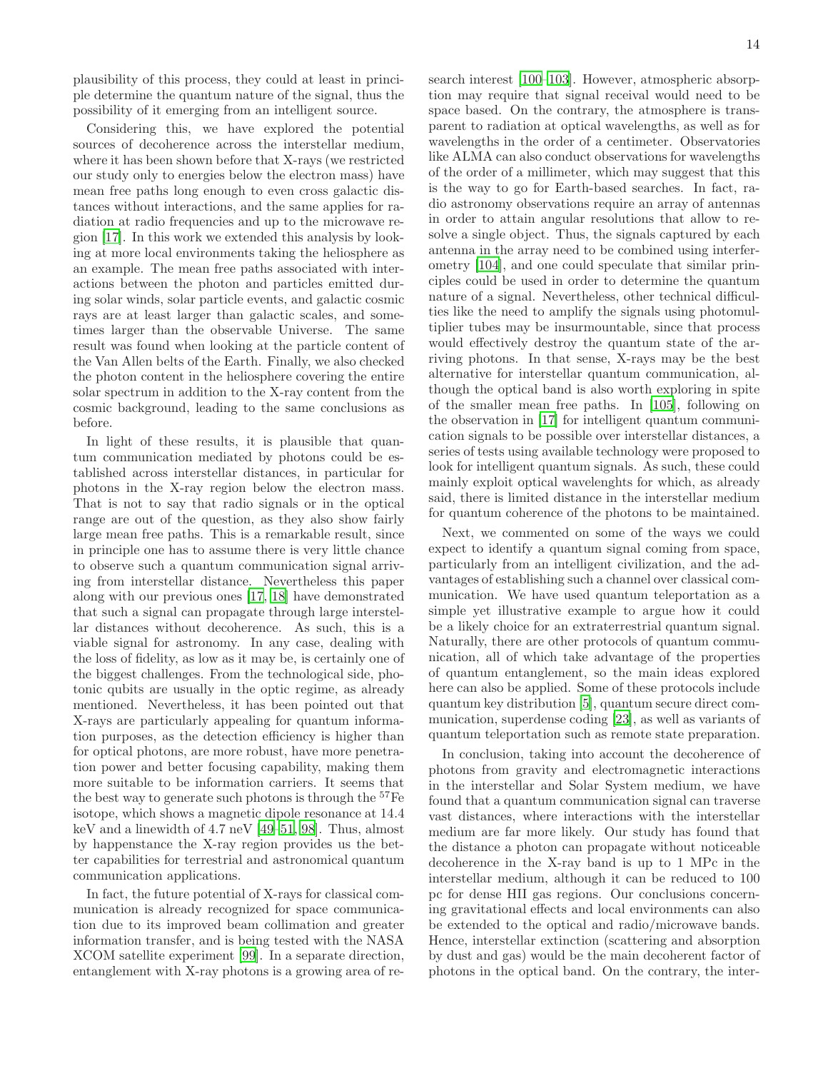plausibility of this process, they could at least in principle determine the quantum nature of the signal, thus the possibility of it emerging from an intelligent source.

Considering this, we have explored the potential sources of decoherence across the interstellar medium, where it has been shown before that X-rays (we restricted our study only to energies below the electron mass) have mean free paths long enough to even cross galactic distances without interactions, and the same applies for radiation at radio frequencies and up to the microwave region [\[17\]](#page-15-1). In this work we extended this analysis by looking at more local environments taking the heliosphere as an example. The mean free paths associated with interactions between the photon and particles emitted during solar winds, solar particle events, and galactic cosmic rays are at least larger than galactic scales, and sometimes larger than the observable Universe. The same result was found when looking at the particle content of the Van Allen belts of the Earth. Finally, we also checked the photon content in the heliosphere covering the entire solar spectrum in addition to the X-ray content from the cosmic background, leading to the same conclusions as before.

In light of these results, it is plausible that quantum communication mediated by photons could be established across interstellar distances, in particular for photons in the X-ray region below the electron mass. That is not to say that radio signals or in the optical range are out of the question, as they also show fairly large mean free paths. This is a remarkable result, since in principle one has to assume there is very little chance to observe such a quantum communication signal arriving from interstellar distance. Nevertheless this paper along with our previous ones [\[17,](#page-15-1) [18\]](#page-15-2) have demonstrated that such a signal can propagate through large interstellar distances without decoherence. As such, this is a viable signal for astronomy. In any case, dealing with the loss of fidelity, as low as it may be, is certainly one of the biggest challenges. From the technological side, photonic qubits are usually in the optic regime, as already mentioned. Nevertheless, it has been pointed out that X-rays are particularly appealing for quantum information purposes, as the detection efficiency is higher than for optical photons, are more robust, have more penetration power and better focusing capability, making them more suitable to be information carriers. It seems that the best way to generate such photons is through the <sup>57</sup>Fe isotope, which shows a magnetic dipole resonance at 14.4 keV and a linewidth of 4.7 neV [\[49](#page-15-29)[–51,](#page-16-0) [98\]](#page-17-11). Thus, almost by happenstance the X-ray region provides us the better capabilities for terrestrial and astronomical quantum communication applications.

In fact, the future potential of X-rays for classical communication is already recognized for space communication due to its improved beam collimation and greater information transfer, and is being tested with the NASA XCOM satellite experiment [\[99](#page-17-12)]. In a separate direction, entanglement with X-ray photons is a growing area of research interest [\[100](#page-17-13)[–103\]](#page-17-14). However, atmospheric absorption may require that signal receival would need to be space based. On the contrary, the atmosphere is transparent to radiation at optical wavelengths, as well as for wavelengths in the order of a centimeter. Observatories like ALMA can also conduct observations for wavelengths of the order of a millimeter, which may suggest that this is the way to go for Earth-based searches. In fact, radio astronomy observations require an array of antennas in order to attain angular resolutions that allow to resolve a single object. Thus, the signals captured by each antenna in the array need to be combined using interferometry [\[104\]](#page-17-15), and one could speculate that similar principles could be used in order to determine the quantum nature of a signal. Nevertheless, other technical difficulties like the need to amplify the signals using photomultiplier tubes may be insurmountable, since that process would effectively destroy the quantum state of the arriving photons. In that sense, X-rays may be the best alternative for interstellar quantum communication, although the optical band is also worth exploring in spite of the smaller mean free paths. In [\[105\]](#page-17-16), following on the observation in [\[17\]](#page-15-1) for intelligent quantum communication signals to be possible over interstellar distances, a series of tests using available technology were proposed to look for intelligent quantum signals. As such, these could mainly exploit optical wavelenghts for which, as already said, there is limited distance in the interstellar medium for quantum coherence of the photons to be maintained.

Next, we commented on some of the ways we could expect to identify a quantum signal coming from space, particularly from an intelligent civilization, and the advantages of establishing such a channel over classical communication. We have used quantum teleportation as a simple yet illustrative example to argue how it could be a likely choice for an extraterrestrial quantum signal. Naturally, there are other protocols of quantum communication, all of which take advantage of the properties of quantum entanglement, so the main ideas explored here can also be applied. Some of these protocols include quantum key distribution [\[5\]](#page-14-3), quantum secure direct communication, superdense coding [\[23](#page-15-30)], as well as variants of quantum teleportation such as remote state preparation.

In conclusion, taking into account the decoherence of photons from gravity and electromagnetic interactions in the interstellar and Solar System medium, we have found that a quantum communication signal can traverse vast distances, where interactions with the interstellar medium are far more likely. Our study has found that the distance a photon can propagate without noticeable decoherence in the X-ray band is up to 1 MPc in the interstellar medium, although it can be reduced to 100 pc for dense HII gas regions. Our conclusions concerning gravitational effects and local environments can also be extended to the optical and radio/microwave bands. Hence, interstellar extinction (scattering and absorption by dust and gas) would be the main decoherent factor of photons in the optical band. On the contrary, the inter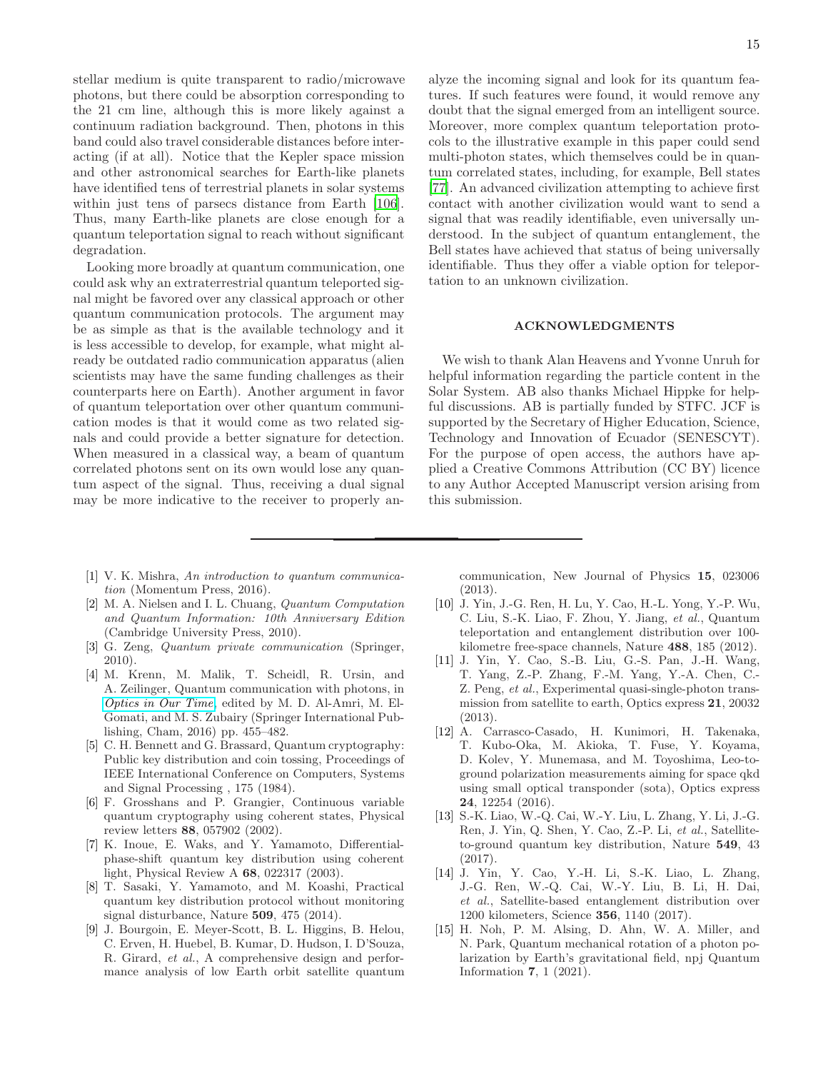stellar medium is quite transparent to radio/microwave photons, but there could be absorption corresponding to the 21 cm line, although this is more likely against a continuum radiation background. Then, photons in this band could also travel considerable distances before interacting (if at all). Notice that the Kepler space mission and other astronomical searches for Earth-like planets have identified tens of terrestrial planets in solar systems within just tens of parsecs distance from Earth [\[106\]](#page-17-17). Thus, many Earth-like planets are close enough for a quantum teleportation signal to reach without significant degradation.

Looking more broadly at quantum communication, one could ask why an extraterrestrial quantum teleported signal might be favored over any classical approach or other quantum communication protocols. The argument may be as simple as that is the available technology and it is less accessible to develop, for example, what might already be outdated radio communication apparatus (alien scientists may have the same funding challenges as their counterparts here on Earth). Another argument in favor of quantum teleportation over other quantum communication modes is that it would come as two related signals and could provide a better signature for detection. When measured in a classical way, a beam of quantum correlated photons sent on its own would lose any quantum aspect of the signal. Thus, receiving a dual signal may be more indicative to the receiver to properly analyze the incoming signal and look for its quantum features. If such features were found, it would remove any doubt that the signal emerged from an intelligent source. Moreover, more complex quantum teleportation protocols to the illustrative example in this paper could send multi-photon states, which themselves could be in quantum correlated states, including, for example, Bell states [\[77\]](#page-16-26). An advanced civilization attempting to achieve first contact with another civilization would want to send a signal that was readily identifiable, even universally understood. In the subject of quantum entanglement, the Bell states have achieved that status of being universally identifiable. Thus they offer a viable option for teleportation to an unknown civilization.

### ACKNOWLEDGMENTS

We wish to thank Alan Heavens and Yvonne Unruh for helpful information regarding the particle content in the Solar System. AB also thanks Michael Hippke for helpful discussions. AB is partially funded by STFC. JCF is supported by the Secretary of Higher Education, Science, Technology and Innovation of Ecuador (SENESCYT). For the purpose of open access, the authors have applied a Creative Commons Attribution (CC BY) licence to any Author Accepted Manuscript version arising from this submission.

- <span id="page-14-0"></span>[1] V. K. Mishra, *An introduction to quantum communication* (Momentum Press, 2016).
- <span id="page-14-1"></span>[2] M. A. Nielsen and I. L. Chuang, *Quantum Computation and Quantum Information: 10th Anniversary Edition* (Cambridge University Press, 2010).
- [3] G. Zeng, *Quantum private communication* (Springer, 2010).
- <span id="page-14-2"></span>[4] M. Krenn, M. Malik, T. Scheidl, R. Ursin, and A. Zeilinger, Quantum communication with photons, in *[Optics in Our Time](https://doi.org/10.1007/978-3-319-31903-2_18)*, edited by M. D. Al-Amri, M. El-Gomati, and M. S. Zubairy (Springer International Publishing, Cham, 2016) pp. 455–482.
- <span id="page-14-3"></span>[5] C. H. Bennett and G. Brassard, Quantum cryptography: Public key distribution and coin tossing, Proceedings of IEEE International Conference on Computers, Systems and Signal Processing , 175 (1984).
- [6] F. Grosshans and P. Grangier, Continuous variable quantum cryptography using coherent states, Physical review letters 88, 057902 (2002).
- [7] K. Inoue, E. Waks, and Y. Yamamoto, Differentialphase-shift quantum key distribution using coherent light, Physical Review A 68, 022317 (2003).
- <span id="page-14-4"></span>[8] T. Sasaki, Y. Yamamoto, and M. Koashi, Practical quantum key distribution protocol without monitoring signal disturbance, Nature 509, 475 (2014).
- <span id="page-14-5"></span>[9] J. Bourgoin, E. Meyer-Scott, B. L. Higgins, B. Helou, C. Erven, H. Huebel, B. Kumar, D. Hudson, I. D'Souza, R. Girard, *et al.*, A comprehensive design and performance analysis of low Earth orbit satellite quantum

communication, New Journal of Physics 15, 023006 (2013).

- <span id="page-14-6"></span>[10] J. Yin, J.-G. Ren, H. Lu, Y. Cao, H.-L. Yong, Y.-P. Wu, C. Liu, S.-K. Liao, F. Zhou, Y. Jiang, *et al.*, Quantum teleportation and entanglement distribution over 100 kilometre free-space channels, Nature 488, 185 (2012).
- [11] J. Yin, Y. Cao, S.-B. Liu, G.-S. Pan, J.-H. Wang, T. Yang, Z.-P. Zhang, F.-M. Yang, Y.-A. Chen, C.- Z. Peng, *et al.*, Experimental quasi-single-photon transmission from satellite to earth, Optics express 21, 20032 (2013).
- [12] A. Carrasco-Casado, H. Kunimori, H. Takenaka, T. Kubo-Oka, M. Akioka, T. Fuse, Y. Koyama, D. Kolev, Y. Munemasa, and M. Toyoshima, Leo-toground polarization measurements aiming for space qkd using small optical transponder (sota), Optics express 24, 12254 (2016).
- [13] S.-K. Liao, W.-Q. Cai, W.-Y. Liu, L. Zhang, Y. Li, J.-G. Ren, J. Yin, Q. Shen, Y. Cao, Z.-P. Li, *et al.*, Satelliteto-ground quantum key distribution, Nature 549, 43 (2017).
- <span id="page-14-7"></span>[14] J. Yin, Y. Cao, Y.-H. Li, S.-K. Liao, L. Zhang, J.-G. Ren, W.-Q. Cai, W.-Y. Liu, B. Li, H. Dai, *et al.*, Satellite-based entanglement distribution over 1200 kilometers, Science 356, 1140 (2017).
- <span id="page-14-8"></span>[15] H. Noh, P. M. Alsing, D. Ahn, W. A. Miller, and N. Park, Quantum mechanical rotation of a photon polarization by Earth's gravitational field, npj Quantum Information 7, 1 (2021).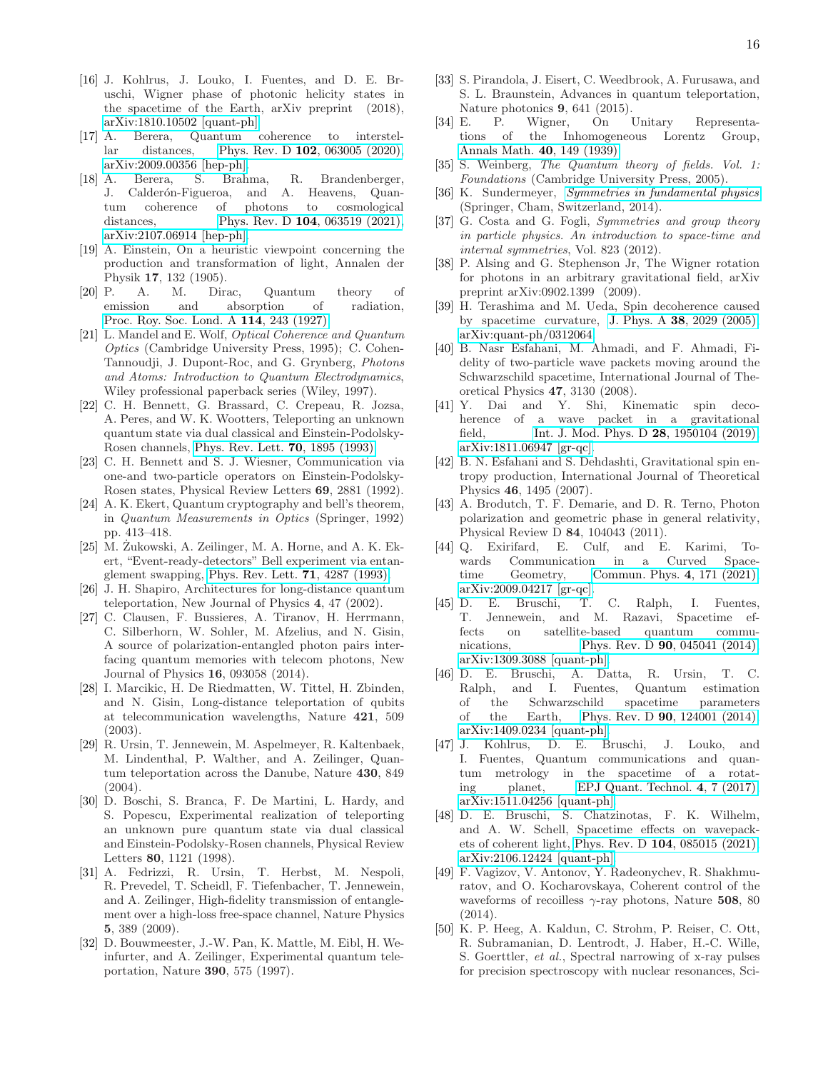- <span id="page-15-0"></span>[16] J. Kohlrus, J. Louko, I. Fuentes, and D. E. Bruschi, Wigner phase of photonic helicity states in the spacetime of the Earth, arXiv preprint (2018), [arXiv:1810.10502 \[quant-ph\].](https://arxiv.org/abs/1810.10502)
- <span id="page-15-1"></span>[17] A. Berera, Quantum coherence to interstellar distances, Phys. Rev. D 102[, 063005 \(2020\),](https://doi.org/10.1103/PhysRevD.102.063005) [arXiv:2009.00356 \[hep-ph\].](https://arxiv.org/abs/2009.00356)
- <span id="page-15-2"></span>[18] A. Berera, S. Brahma, R. Brandenberger, J. Calderón-Figueroa, and A. Heavens, Quantum coherence of photons to cosmological distances, Phys. Rev. D **104**[, 063519 \(2021\),](https://doi.org/10.1103/PhysRevD.104.063519) [arXiv:2107.06914 \[hep-ph\].](https://arxiv.org/abs/2107.06914)
- <span id="page-15-3"></span>[19] A. Einstein, On a heuristic viewpoint concerning the production and transformation of light, Annalen der Physik 17, 132 (1905).
- <span id="page-15-4"></span>[20] P. A. M. Dirac, Quantum theory of emission and absorption of radiation, [Proc. Roy. Soc. Lond. A](https://doi.org/10.1098/rspa.1927.0039) 114, 243 (1927).
- <span id="page-15-5"></span>[21] L. Mandel and E. Wolf, *Optical Coherence and Quantum Optics* (Cambridge University Press, 1995); C. Cohen-Tannoudji, J. Dupont-Roc, and G. Grynberg, *Photons and Atoms: Introduction to Quantum Electrodynamics*, Wiley professional paperback series (Wiley, 1997).
- <span id="page-15-6"></span>[22] C. H. Bennett, G. Brassard, C. Crepeau, R. Jozsa, A. Peres, and W. K. Wootters, Teleporting an unknown quantum state via dual classical and Einstein-Podolsky-Rosen channels, [Phys. Rev. Lett.](https://doi.org/10.1103/PhysRevLett.70.1895) 70, 1895 (1993).
- <span id="page-15-30"></span>[23] C. H. Bennett and S. J. Wiesner, Communication via one-and two-particle operators on Einstein-Podolsky-Rosen states, Physical Review Letters 69, 2881 (1992).
- <span id="page-15-7"></span>[24] A. K. Ekert, Quantum cryptography and bell's theorem, in *Quantum Measurements in Optics* (Springer, 1992) pp. 413–418.
- <span id="page-15-8"></span> $[25]$  M. Zukowski, A. Zeilinger, M. A. Horne, and A. K. Ekert, "Event-ready-detectors" Bell experiment via entan-glement swapping, [Phys. Rev. Lett.](https://doi.org/10.1103/PhysRevLett.71.4287)  $71$ ,  $4287$  (1993).
- <span id="page-15-10"></span>[26] J. H. Shapiro, Architectures for long-distance quantum teleportation, New Journal of Physics 4, 47 (2002).
- <span id="page-15-9"></span>[27] C. Clausen, F. Bussieres, A. Tiranov, H. Herrmann, C. Silberhorn, W. Sohler, M. Afzelius, and N. Gisin, A source of polarization-entangled photon pairs interfacing quantum memories with telecom photons, New Journal of Physics 16, 093058 (2014).
- <span id="page-15-11"></span>[28] I. Marcikic, H. De Riedmatten, W. Tittel, H. Zbinden, and N. Gisin, Long-distance teleportation of qubits at telecommunication wavelengths, Nature 421, 509 (2003).
- <span id="page-15-12"></span>[29] R. Ursin, T. Jennewein, M. Aspelmeyer, R. Kaltenbaek, M. Lindenthal, P. Walther, and A. Zeilinger, Quantum teleportation across the Danube, Nature 430, 849 (2004).
- <span id="page-15-13"></span>[30] D. Boschi, S. Branca, F. De Martini, L. Hardy, and S. Popescu, Experimental realization of teleporting an unknown pure quantum state via dual classical and Einstein-Podolsky-Rosen channels, Physical Review Letters 80, 1121 (1998).
- <span id="page-15-14"></span>[31] A. Fedrizzi, R. Ursin, T. Herbst, M. Nespoli, R. Prevedel, T. Scheidl, F. Tiefenbacher, T. Jennewein, and A. Zeilinger, High-fidelity transmission of entanglement over a high-loss free-space channel, Nature Physics 5, 389 (2009).
- <span id="page-15-15"></span>[32] D. Bouwmeester, J.-W. Pan, K. Mattle, M. Eibl, H. Weinfurter, and A. Zeilinger, Experimental quantum teleportation, Nature 390, 575 (1997).
- <span id="page-15-16"></span>[33] S. Pirandola, J. Eisert, C. Weedbrook, A. Furusawa, and S. L. Braunstein, Advances in quantum teleportation, Nature photonics 9, 641 (2015).
- <span id="page-15-17"></span>[34] E. P. Wigner, On Unitary Representations of the Inhomogeneous Lorentz Group, [Annals Math.](https://doi.org/10.2307/1968551) 40, 149 (1939).
- <span id="page-15-18"></span>[35] S. Weinberg, *The Quantum theory of fields. Vol. 1: Foundations* (Cambridge University Press, 2005).
- <span id="page-15-19"></span>[36] K. Sundermeyer, *[Symmetries in fundamental physics](https://doi.org/10.1007/978-94-007-7642-5)* (Springer, Cham, Switzerland, 2014).
- <span id="page-15-20"></span>[37] G. Costa and G. Fogli, *Symmetries and group theory in particle physics. An introduction to space-time and internal symmetries*, Vol. 823 (2012).
- <span id="page-15-21"></span>[38] P. Alsing and G. Stephenson Jr, The Wigner rotation for photons in an arbitrary gravitational field, arXiv preprint arXiv:0902.1399 (2009).
- <span id="page-15-22"></span>[39] H. Terashima and M. Ueda, Spin decoherence caused by spacetime curvature, J. Phys. A 38[, 2029 \(2005\),](https://doi.org/10.1088/0305-4470/38/9/013) [arXiv:quant-ph/0312064.](https://arxiv.org/abs/quant-ph/0312064)
- [40] B. Nasr Esfahani, M. Ahmadi, and F. Ahmadi, Fidelity of two-particle wave packets moving around the Schwarzschild spacetime, International Journal of Theoretical Physics 47, 3130 (2008).
- <span id="page-15-23"></span>[41] Y. Dai and Y. Shi, Kinematic spin decoherence of a wave packet in a gravitational field, [Int. J. Mod. Phys. D](https://doi.org/10.1142/S0218271819501049) 28, 1950104 (2019), [arXiv:1811.06947 \[gr-qc\].](https://arxiv.org/abs/1811.06947)
- <span id="page-15-24"></span>[42] B. N. Esfahani and S. Dehdashti, Gravitational spin entropy production, International Journal of Theoretical Physics 46, 1495 (2007).
- <span id="page-15-25"></span>[43] A. Brodutch, T. F. Demarie, and D. R. Terno, Photon polarization and geometric phase in general relativity, Physical Review D 84, 104043 (2011).
- <span id="page-15-26"></span>[44] Q. Exirifard, E. Culf, and E. Karimi, Towards Communication in a Curved Spacetime Geometry, [Commun. Phys.](https://doi.org/10.1038/s42005-021-00671-8) 4, 171 (2021), [arXiv:2009.04217 \[gr-qc\].](https://arxiv.org/abs/2009.04217)
- <span id="page-15-27"></span>[45] D. E. Bruschi, T. C. Ralph, I. Fuentes, T. Jennewein, and M. Razavi, Spacetime effects on satellite-based quantum communications, Phys. Rev. D **90**[, 045041 \(2014\),](https://doi.org/10.1103/PhysRevD.90.045041) [arXiv:1309.3088 \[quant-ph\].](https://arxiv.org/abs/1309.3088)
- [46] D. E. Bruschi, A. Datta, R. Ursin, T. C. Ralph, and I. Fuentes, Quantum estimation of the Schwarzschild spacetime parameters of the Earth, Phys. Rev. D 90[, 124001 \(2014\),](https://doi.org/10.1103/PhysRevD.90.124001) [arXiv:1409.0234 \[quant-ph\].](https://arxiv.org/abs/1409.0234)
- [47] J. Kohlrus, D. E. Bruschi, J. Louko, and I. Fuentes, Quantum communications and quantum metrology in the spacetime of a rotating planet, [EPJ Quant. Technol.](https://doi.org/10.1140/epjqt/s40507-017-0061-0) 4, 7 (2017), [arXiv:1511.04256 \[quant-ph\].](https://arxiv.org/abs/1511.04256)
- <span id="page-15-28"></span>[48] D. E. Bruschi, S. Chatzinotas, F. K. Wilhelm, and A. W. Schell, Spacetime effects on wavepackets of coherent light, Phys. Rev. D 104[, 085015 \(2021\),](https://doi.org/10.1103/PhysRevD.104.085015) [arXiv:2106.12424 \[quant-ph\].](https://arxiv.org/abs/2106.12424)
- <span id="page-15-29"></span>[49] F. Vagizov, V. Antonov, Y. Radeonychev, R. Shakhmuratov, and O. Kocharovskaya, Coherent control of the waveforms of recoilless  $\gamma$ -ray photons, Nature 508, 80 (2014).
- [50] K. P. Heeg, A. Kaldun, C. Strohm, P. Reiser, C. Ott, R. Subramanian, D. Lentrodt, J. Haber, H.-C. Wille, S. Goerttler, *et al.*, Spectral narrowing of x-ray pulses for precision spectroscopy with nuclear resonances, Sci-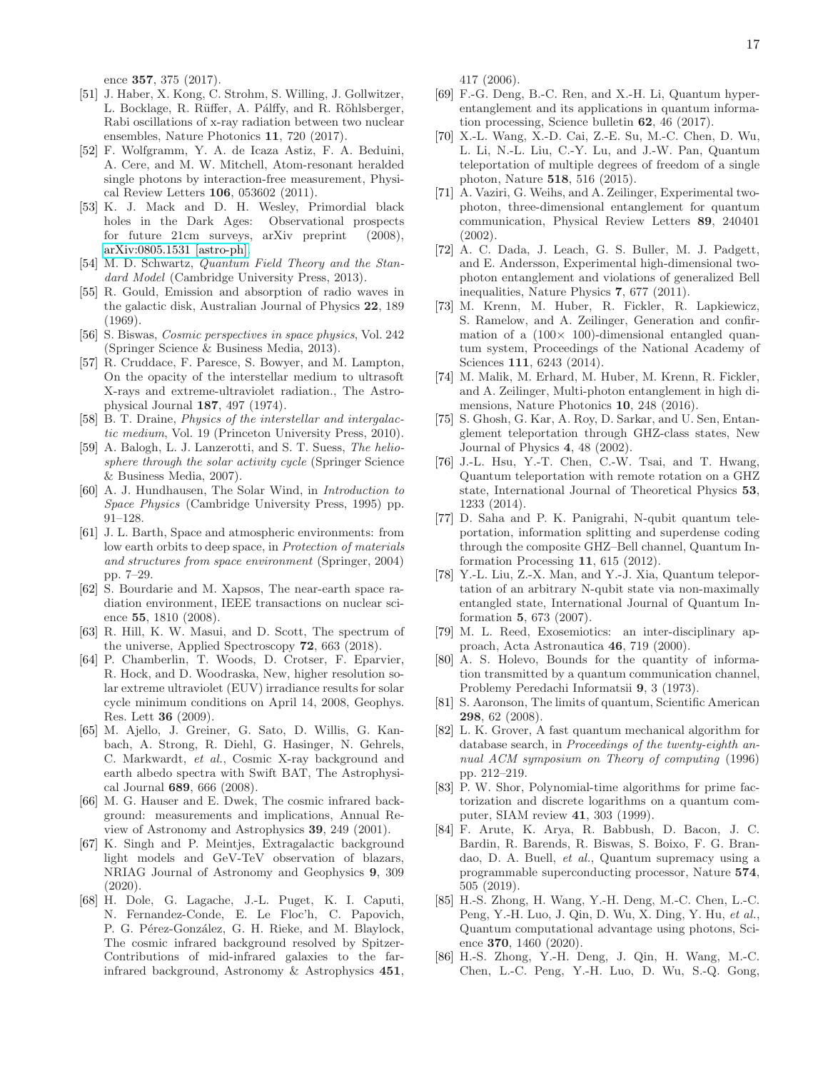ence 357, 375 (2017).

- <span id="page-16-0"></span>[51] J. Haber, X. Kong, C. Strohm, S. Willing, J. Gollwitzer, L. Bocklage, R. Rüffer, A. Pálffy, and R. Röhlsberger, Rabi oscillations of x-ray radiation between two nuclear ensembles, Nature Photonics 11, 720 (2017).
- <span id="page-16-1"></span>[52] F. Wolfgramm, Y. A. de Icaza Astiz, F. A. Beduini, A. Cere, and M. W. Mitchell, Atom-resonant heralded single photons by interaction-free measurement, Physical Review Letters 106, 053602 (2011).
- <span id="page-16-2"></span>[53] K. J. Mack and D. H. Wesley, Primordial black holes in the Dark Ages: for future 21cm surveys, arXiv preprint (2008), [arXiv:0805.1531 \[astro-ph\].](https://arxiv.org/abs/0805.1531)
- <span id="page-16-3"></span>[54] M. D. Schwartz, *Quantum Field Theory and the Standard Model* (Cambridge University Press, 2013).
- <span id="page-16-4"></span>[55] R. Gould, Emission and absorption of radio waves in the galactic disk, Australian Journal of Physics 22, 189 (1969).
- <span id="page-16-5"></span>[56] S. Biswas, *Cosmic perspectives in space physics*, Vol. 242 (Springer Science & Business Media, 2013).
- <span id="page-16-6"></span>[57] R. Cruddace, F. Paresce, S. Bowyer, and M. Lampton, On the opacity of the interstellar medium to ultrasoft X-rays and extreme-ultraviolet radiation., The Astrophysical Journal 187, 497 (1974).
- <span id="page-16-7"></span>[58] B. T. Draine, *Physics of the interstellar and intergalactic medium*, Vol. 19 (Princeton University Press, 2010).
- <span id="page-16-8"></span>[59] A. Balogh, L. J. Lanzerotti, and S. T. Suess, *The heliosphere through the solar activity cycle* (Springer Science & Business Media, 2007).
- <span id="page-16-9"></span>[60] A. J. Hundhausen, The Solar Wind, in *Introduction to Space Physics* (Cambridge University Press, 1995) pp. 91–128.
- <span id="page-16-10"></span>[61] J. L. Barth, Space and atmospheric environments: from low earth orbits to deep space, in *Protection of materials and structures from space environment* (Springer, 2004) pp. 7–29.
- <span id="page-16-11"></span>[62] S. Bourdarie and M. Xapsos, The near-earth space radiation environment, IEEE transactions on nuclear science 55, 1810 (2008).
- <span id="page-16-12"></span>[63] R. Hill, K. W. Masui, and D. Scott, The spectrum of the universe, Applied Spectroscopy 72, 663 (2018).
- <span id="page-16-13"></span>[64] P. Chamberlin, T. Woods, D. Crotser, F. Eparvier, R. Hock, and D. Woodraska, New, higher resolution solar extreme ultraviolet (EUV) irradiance results for solar cycle minimum conditions on April 14, 2008, Geophys. Res. Lett 36 (2009).
- <span id="page-16-14"></span>[65] M. Ajello, J. Greiner, G. Sato, D. Willis, G. Kanbach, A. Strong, R. Diehl, G. Hasinger, N. Gehrels, C. Markwardt, *et al.*, Cosmic X-ray background and earth albedo spectra with Swift BAT, The Astrophysical Journal 689, 666 (2008).
- <span id="page-16-15"></span>[66] M. G. Hauser and E. Dwek, The cosmic infrared background: measurements and implications, Annual Review of Astronomy and Astrophysics 39, 249 (2001).
- <span id="page-16-16"></span>[67] K. Singh and P. Meintjes, Extragalactic background light models and GeV-TeV observation of blazars, NRIAG Journal of Astronomy and Geophysics 9, 309 (2020).
- <span id="page-16-17"></span>[68] H. Dole, G. Lagache, J.-L. Puget, K. I. Caputi, N. Fernandez-Conde, E. Le Floc'h, C. Papovich, P. G. Pérez-González, G. H. Rieke, and M. Blaylock, The cosmic infrared background resolved by Spitzer-Contributions of mid-infrared galaxies to the farinfrared background, Astronomy & Astrophysics 451,

417 (2006).

- <span id="page-16-18"></span>[69] F.-G. Deng, B.-C. Ren, and X.-H. Li, Quantum hyperentanglement and its applications in quantum information processing, Science bulletin 62, 46 (2017).
- <span id="page-16-19"></span>[70] X.-L. Wang, X.-D. Cai, Z.-E. Su, M.-C. Chen, D. Wu, L. Li, N.-L. Liu, C.-Y. Lu, and J.-W. Pan, Quantum teleportation of multiple degrees of freedom of a single photon, Nature 518, 516 (2015).
- <span id="page-16-20"></span>[71] A. Vaziri, G. Weihs, and A. Zeilinger, Experimental twophoton, three-dimensional entanglement for quantum communication, Physical Review Letters 89, 240401 (2002).
- <span id="page-16-21"></span>[72] A. C. Dada, J. Leach, G. S. Buller, M. J. Padgett, and E. Andersson, Experimental high-dimensional twophoton entanglement and violations of generalized Bell inequalities, Nature Physics 7, 677 (2011).
- <span id="page-16-22"></span>[73] M. Krenn, M. Huber, R. Fickler, R. Lapkiewicz, S. Ramelow, and A. Zeilinger, Generation and confirmation of a  $(100 \times 100)$ -dimensional entangled quantum system, Proceedings of the National Academy of Sciences 111, 6243 (2014).
- <span id="page-16-23"></span>[74] M. Malik, M. Erhard, M. Huber, M. Krenn, R. Fickler, and A. Zeilinger, Multi-photon entanglement in high dimensions, Nature Photonics 10, 248 (2016).
- <span id="page-16-24"></span>[75] S. Ghosh, G. Kar, A. Roy, D. Sarkar, and U. Sen, Entanglement teleportation through GHZ-class states, New Journal of Physics 4, 48 (2002).
- <span id="page-16-25"></span>[76] J.-L. Hsu, Y.-T. Chen, C.-W. Tsai, and T. Hwang, Quantum teleportation with remote rotation on a GHZ state, International Journal of Theoretical Physics 53, 1233 (2014).
- <span id="page-16-26"></span>[77] D. Saha and P. K. Panigrahi, N-qubit quantum teleportation, information splitting and superdense coding through the composite GHZ–Bell channel, Quantum Information Processing 11, 615 (2012).
- <span id="page-16-27"></span>[78] Y.-L. Liu, Z.-X. Man, and Y.-J. Xia, Quantum teleportation of an arbitrary N-qubit state via non-maximally entangled state, International Journal of Quantum Information 5, 673 (2007).
- <span id="page-16-28"></span>[79] M. L. Reed, Exosemiotics: an inter-disciplinary approach, Acta Astronautica 46, 719 (2000).
- <span id="page-16-29"></span>[80] A. S. Holevo, Bounds for the quantity of information transmitted by a quantum communication channel, Problemy Peredachi Informatsii 9, 3 (1973).
- <span id="page-16-30"></span>[81] S. Aaronson, The limits of quantum, Scientific American 298, 62 (2008).
- <span id="page-16-31"></span>[82] L. K. Grover, A fast quantum mechanical algorithm for database search, in *Proceedings of the twenty-eighth annual ACM symposium on Theory of computing* (1996) pp. 212–219.
- <span id="page-16-32"></span>[83] P. W. Shor, Polynomial-time algorithms for prime factorization and discrete logarithms on a quantum computer, SIAM review 41, 303 (1999).
- <span id="page-16-33"></span>[84] F. Arute, K. Arya, R. Babbush, D. Bacon, J. C. Bardin, R. Barends, R. Biswas, S. Boixo, F. G. Brandao, D. A. Buell, *et al.*, Quantum supremacy using a programmable superconducting processor, Nature 574, 505 (2019).
- <span id="page-16-34"></span>[85] H.-S. Zhong, H. Wang, Y.-H. Deng, M.-C. Chen, L.-C. Peng, Y.-H. Luo, J. Qin, D. Wu, X. Ding, Y. Hu, *et al.*, Quantum computational advantage using photons, Science 370, 1460 (2020).
- [86] H.-S. Zhong, Y.-H. Deng, J. Qin, H. Wang, M.-C. Chen, L.-C. Peng, Y.-H. Luo, D. Wu, S.-Q. Gong,